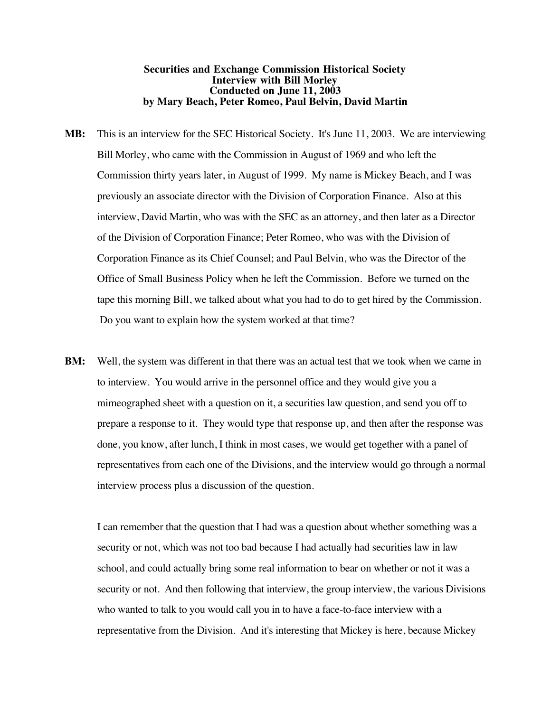# **Securities and Exchange Commission Historical Society Interview with Bill Morley Conducted on June 11, 2003 by Mary Beach, Peter Romeo, Paul Belvin, David Martin**

- **MB:** This is an interview for the SEC Historical Society. It's June 11, 2003. We are interviewing Bill Morley, who came with the Commission in August of 1969 and who left the Commission thirty years later, in August of 1999. My name is Mickey Beach, and I was previously an associate director with the Division of Corporation Finance. Also at this interview, David Martin, who was with the SEC as an attorney, and then later as a Director of the Division of Corporation Finance; Peter Romeo, who was with the Division of Corporation Finance as its Chief Counsel; and Paul Belvin, who was the Director of the Office of Small Business Policy when he left the Commission. Before we turned on the tape this morning Bill, we talked about what you had to do to get hired by the Commission. Do you want to explain how the system worked at that time?
- **BM:** Well, the system was different in that there was an actual test that we took when we came in to interview. You would arrive in the personnel office and they would give you a mimeographed sheet with a question on it, a securities law question, and send you off to prepare a response to it. They would type that response up, and then after the response was done, you know, after lunch, I think in most cases, we would get together with a panel of representatives from each one of the Divisions, and the interview would go through a normal interview process plus a discussion of the question.

I can remember that the question that I had was a question about whether something was a security or not, which was not too bad because I had actually had securities law in law school, and could actually bring some real information to bear on whether or not it was a security or not. And then following that interview, the group interview, the various Divisions who wanted to talk to you would call you in to have a face-to-face interview with a representative from the Division. And it's interesting that Mickey is here, because Mickey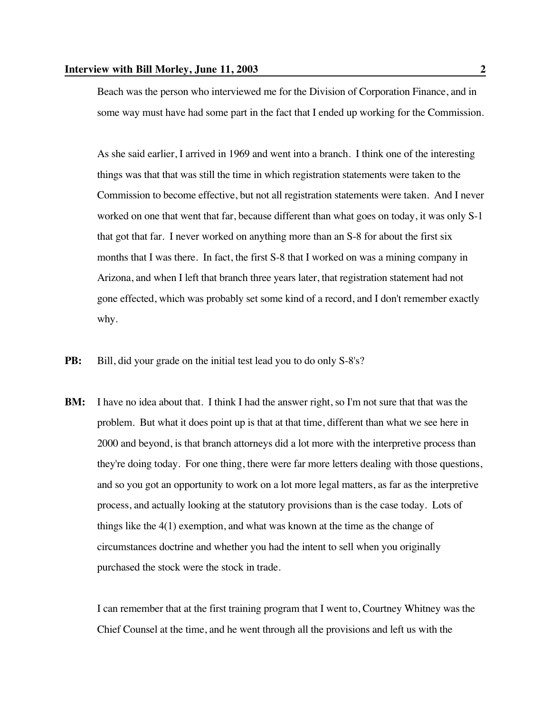Beach was the person who interviewed me for the Division of Corporation Finance, and in some way must have had some part in the fact that I ended up working for the Commission.

As she said earlier, I arrived in 1969 and went into a branch. I think one of the interesting things was that that was still the time in which registration statements were taken to the Commission to become effective, but not all registration statements were taken. And I never worked on one that went that far, because different than what goes on today, it was only S-1 that got that far. I never worked on anything more than an S-8 for about the first six months that I was there. In fact, the first S-8 that I worked on was a mining company in Arizona, and when I left that branch three years later, that registration statement had not gone effected, which was probably set some kind of a record, and I don't remember exactly why.

- **PB:** Bill, did your grade on the initial test lead you to do only S-8's?
- **BM:** I have no idea about that. I think I had the answer right, so I'm not sure that that was the problem. But what it does point up is that at that time, different than what we see here in 2000 and beyond, is that branch attorneys did a lot more with the interpretive process than they're doing today. For one thing, there were far more letters dealing with those questions, and so you got an opportunity to work on a lot more legal matters, as far as the interpretive process, and actually looking at the statutory provisions than is the case today. Lots of things like the  $4(1)$  exemption, and what was known at the time as the change of circumstances doctrine and whether you had the intent to sell when you originally purchased the stock were the stock in trade.

I can remember that at the first training program that I went to, Courtney Whitney was the Chief Counsel at the time, and he went through all the provisions and left us with the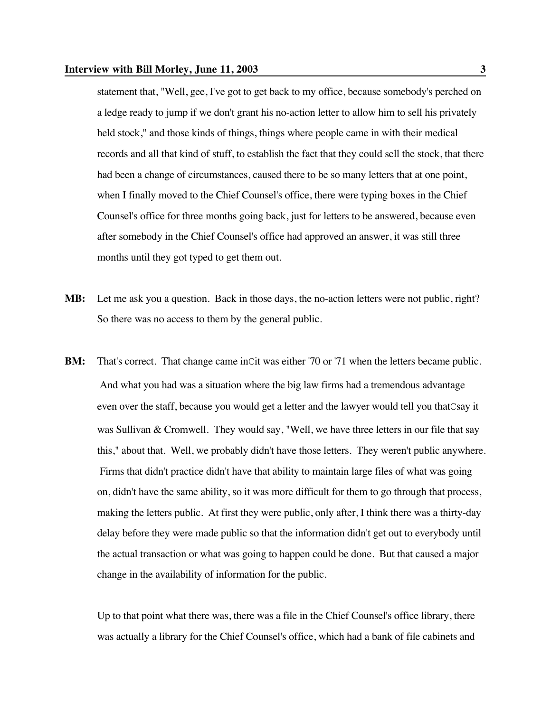#### **Interview with Bill Morley, June 11, 2003 3**

statement that, "Well, gee, I've got to get back to my office, because somebody's perched on a ledge ready to jump if we don't grant his no-action letter to allow him to sell his privately held stock," and those kinds of things, things where people came in with their medical records and all that kind of stuff, to establish the fact that they could sell the stock, that there had been a change of circumstances, caused there to be so many letters that at one point, when I finally moved to the Chief Counsel's office, there were typing boxes in the Chief Counsel's office for three months going back, just for letters to be answered, because even after somebody in the Chief Counsel's office had approved an answer, it was still three months until they got typed to get them out.

- **MB:** Let me ask you a question. Back in those days, the no-action letters were not public, right? So there was no access to them by the general public.
- **BM:** That's correct. That change came inCit was either '70 or '71 when the letters became public. And what you had was a situation where the big law firms had a tremendous advantage even over the staff, because you would get a letter and the lawyer would tell you thatCsay it was Sullivan & Cromwell. They would say, "Well, we have three letters in our file that say this," about that. Well, we probably didn't have those letters. They weren't public anywhere. Firms that didn't practice didn't have that ability to maintain large files of what was going on, didn't have the same ability, so it was more difficult for them to go through that process, making the letters public. At first they were public, only after, I think there was a thirty-day delay before they were made public so that the information didn't get out to everybody until the actual transaction or what was going to happen could be done. But that caused a major change in the availability of information for the public.

Up to that point what there was, there was a file in the Chief Counsel's office library, there was actually a library for the Chief Counsel's office, which had a bank of file cabinets and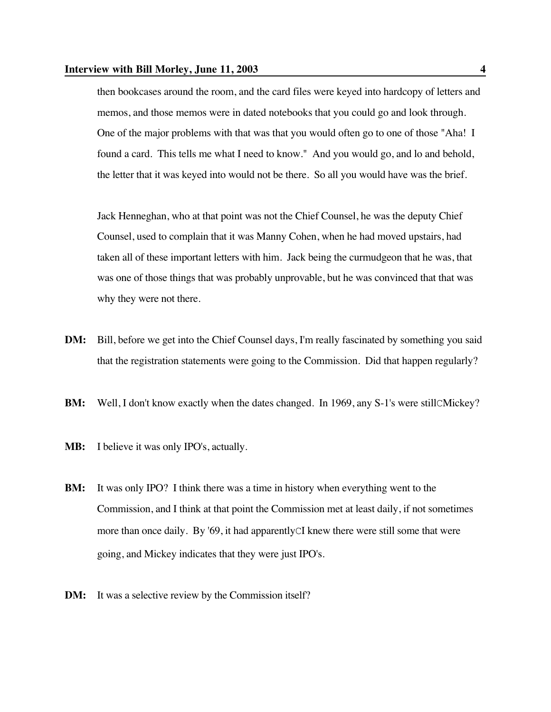then bookcases around the room, and the card files were keyed into hardcopy of letters and memos, and those memos were in dated notebooks that you could go and look through. One of the major problems with that was that you would often go to one of those "Aha! I found a card. This tells me what I need to know." And you would go, and lo and behold, the letter that it was keyed into would not be there. So all you would have was the brief.

Jack Henneghan, who at that point was not the Chief Counsel, he was the deputy Chief Counsel, used to complain that it was Manny Cohen, when he had moved upstairs, had taken all of these important letters with him. Jack being the curmudgeon that he was, that was one of those things that was probably unprovable, but he was convinced that that was why they were not there.

- **DM:** Bill, before we get into the Chief Counsel days, I'm really fascinated by something you said that the registration statements were going to the Commission. Did that happen regularly?
- **BM:** Well, I don't know exactly when the dates changed. In 1969, any S-1's were still CMickey?
- **MB:** I believe it was only IPO's, actually.
- **BM:** It was only IPO? I think there was a time in history when everything went to the Commission, and I think at that point the Commission met at least daily, if not sometimes more than once daily. By '69, it had apparentlyCI knew there were still some that were going, and Mickey indicates that they were just IPO's.
- **DM:** It was a selective review by the Commission itself?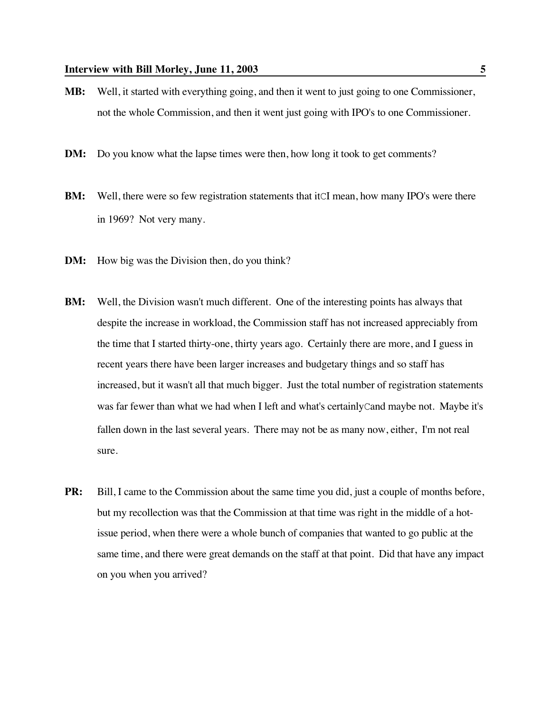- **MB:** Well, it started with everything going, and then it went to just going to one Commissioner, not the whole Commission, and then it went just going with IPO's to one Commissioner.
- **DM:** Do you know what the lapse times were then, how long it took to get comments?
- **BM:** Well, there were so few registration statements that it CI mean, how many IPO's were there in 1969? Not very many.
- **DM:** How big was the Division then, do you think?
- **BM:** Well, the Division wasn't much different. One of the interesting points has always that despite the increase in workload, the Commission staff has not increased appreciably from the time that I started thirty-one, thirty years ago. Certainly there are more, and I guess in recent years there have been larger increases and budgetary things and so staff has increased, but it wasn't all that much bigger. Just the total number of registration statements was far fewer than what we had when I left and what's certainlyCand maybe not. Maybe it's fallen down in the last several years. There may not be as many now, either, I'm not real sure.
- **PR:** Bill, I came to the Commission about the same time you did, just a couple of months before, but my recollection was that the Commission at that time was right in the middle of a hotissue period, when there were a whole bunch of companies that wanted to go public at the same time, and there were great demands on the staff at that point. Did that have any impact on you when you arrived?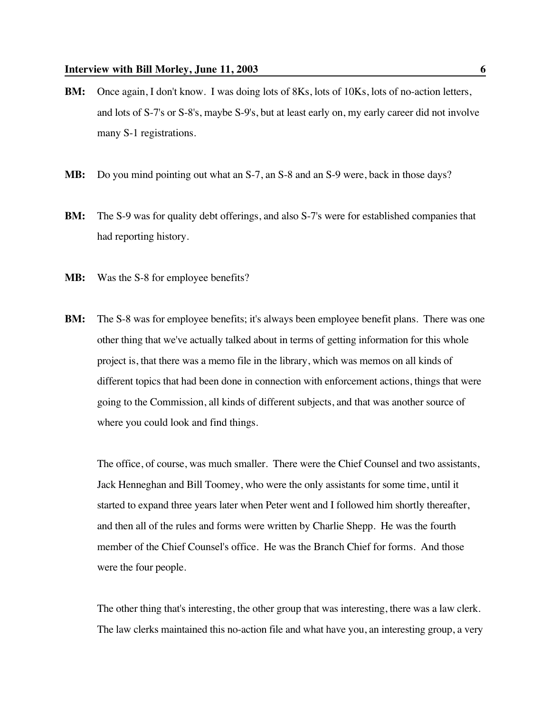- **BM:** Once again, I don't know. I was doing lots of 8Ks, lots of 10Ks, lots of no-action letters, and lots of S-7's or S-8's, maybe S-9's, but at least early on, my early career did not involve many S-1 registrations.
- **MB:** Do you mind pointing out what an S-7, an S-8 and an S-9 were, back in those days?
- **BM:** The S-9 was for quality debt offerings, and also S-7's were for established companies that had reporting history.
- **MB:** Was the S-8 for employee benefits?
- **BM:** The S-8 was for employee benefits; it's always been employee benefit plans. There was one other thing that we've actually talked about in terms of getting information for this whole project is, that there was a memo file in the library, which was memos on all kinds of different topics that had been done in connection with enforcement actions, things that were going to the Commission, all kinds of different subjects, and that was another source of where you could look and find things.

The office, of course, was much smaller. There were the Chief Counsel and two assistants, Jack Henneghan and Bill Toomey, who were the only assistants for some time, until it started to expand three years later when Peter went and I followed him shortly thereafter, and then all of the rules and forms were written by Charlie Shepp. He was the fourth member of the Chief Counsel's office. He was the Branch Chief for forms. And those were the four people.

The other thing that's interesting, the other group that was interesting, there was a law clerk. The law clerks maintained this no-action file and what have you, an interesting group, a very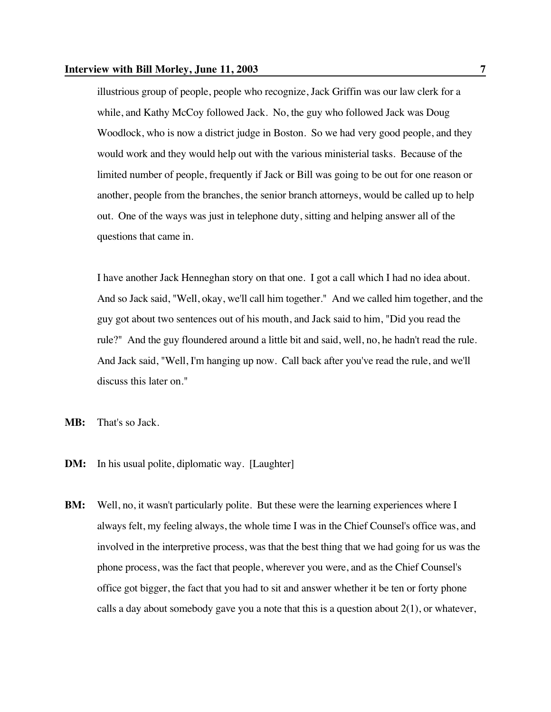## **Interview with Bill Morley, June 11, 2003** 7

illustrious group of people, people who recognize, Jack Griffin was our law clerk for a while, and Kathy McCoy followed Jack. No, the guy who followed Jack was Doug Woodlock, who is now a district judge in Boston. So we had very good people, and they would work and they would help out with the various ministerial tasks. Because of the limited number of people, frequently if Jack or Bill was going to be out for one reason or another, people from the branches, the senior branch attorneys, would be called up to help out. One of the ways was just in telephone duty, sitting and helping answer all of the questions that came in.

I have another Jack Henneghan story on that one. I got a call which I had no idea about. And so Jack said, "Well, okay, we'll call him together." And we called him together, and the guy got about two sentences out of his mouth, and Jack said to him, "Did you read the rule?" And the guy floundered around a little bit and said, well, no, he hadn't read the rule. And Jack said, "Well, I'm hanging up now. Call back after you've read the rule, and we'll discuss this later on."

- **MB:** That's so Jack.
- **DM:** In his usual polite, diplomatic way. [Laughter]
- **BM:** Well, no, it wasn't particularly polite. But these were the learning experiences where I always felt, my feeling always, the whole time I was in the Chief Counsel's office was, and involved in the interpretive process, was that the best thing that we had going for us was the phone process, was the fact that people, wherever you were, and as the Chief Counsel's office got bigger, the fact that you had to sit and answer whether it be ten or forty phone calls a day about somebody gave you a note that this is a question about  $2(1)$ , or whatever,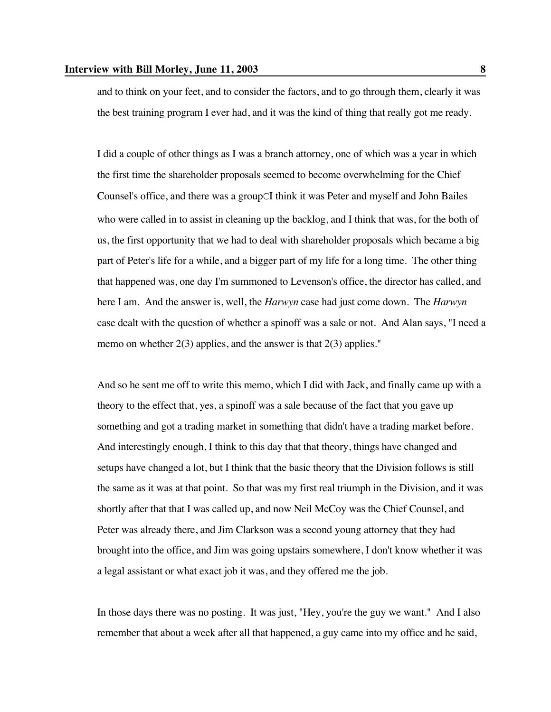and to think on your feet, and to consider the factors, and to go through them, clearly it was the best training program I ever had, and it was the kind of thing that really got me ready.

I did a couple of other things as I was a branch attorney, one of which was a year in which the first time the shareholder proposals seemed to become overwhelming for the Chief Counsel's office, and there was a groupCI think it was Peter and myself and John Bailes who were called in to assist in cleaning up the backlog, and I think that was, for the both of us, the first opportunity that we had to deal with shareholder proposals which became a big part of Peter's life for a while, and a bigger part of my life for a long time. The other thing that happened was, one day I'm summoned to Levenson's office, the director has called, and here I am. And the answer is, well, the *Harwyn* case had just come down. The *Harwyn* case dealt with the question of whether a spinoff was a sale or not. And Alan says, "I need a memo on whether  $2(3)$  applies, and the answer is that  $2(3)$  applies."

And so he sent me off to write this memo, which I did with Jack, and finally came up with a theory to the effect that, yes, a spinoff was a sale because of the fact that you gave up something and got a trading market in something that didn't have a trading market before. And interestingly enough, I think to this day that that theory, things have changed and setups have changed a lot, but I think that the basic theory that the Division follows is still the same as it was at that point. So that was my first real triumph in the Division, and it was shortly after that that I was called up, and now Neil McCoy was the Chief Counsel, and Peter was already there, and Jim Clarkson was a second young attorney that they had brought into the office, and Jim was going upstairs somewhere, I don't know whether it was a legal assistant or what exact job it was, and they offered me the job.

In those days there was no posting. It was just, "Hey, you're the guy we want." And I also remember that about a week after all that happened, a guy came into my office and he said,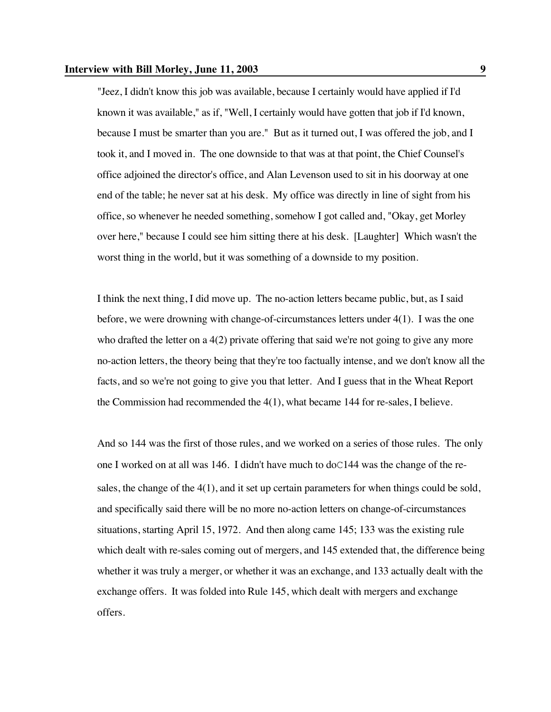"Jeez, I didn't know this job was available, because I certainly would have applied if I'd known it was available," as if, "Well, I certainly would have gotten that job if I'd known, because I must be smarter than you are." But as it turned out, I was offered the job, and I took it, and I moved in. The one downside to that was at that point, the Chief Counsel's office adjoined the director's office, and Alan Levenson used to sit in his doorway at one end of the table; he never sat at his desk. My office was directly in line of sight from his office, so whenever he needed something, somehow I got called and, "Okay, get Morley over here," because I could see him sitting there at his desk. [Laughter] Which wasn't the worst thing in the world, but it was something of a downside to my position.

I think the next thing, I did move up. The no-action letters became public, but, as I said before, we were drowning with change-of-circumstances letters under 4(1). I was the one who drafted the letter on a 4(2) private offering that said we're not going to give any more no-action letters, the theory being that they're too factually intense, and we don't know all the facts, and so we're not going to give you that letter. And I guess that in the Wheat Report the Commission had recommended the 4(1), what became 144 for re-sales, I believe.

And so 144 was the first of those rules, and we worked on a series of those rules. The only one I worked on at all was 146. I didn't have much to  $d_0C144$  was the change of the resales, the change of the 4(1), and it set up certain parameters for when things could be sold, and specifically said there will be no more no-action letters on change-of-circumstances situations, starting April 15, 1972. And then along came 145; 133 was the existing rule which dealt with re-sales coming out of mergers, and 145 extended that, the difference being whether it was truly a merger, or whether it was an exchange, and 133 actually dealt with the exchange offers. It was folded into Rule 145, which dealt with mergers and exchange offers.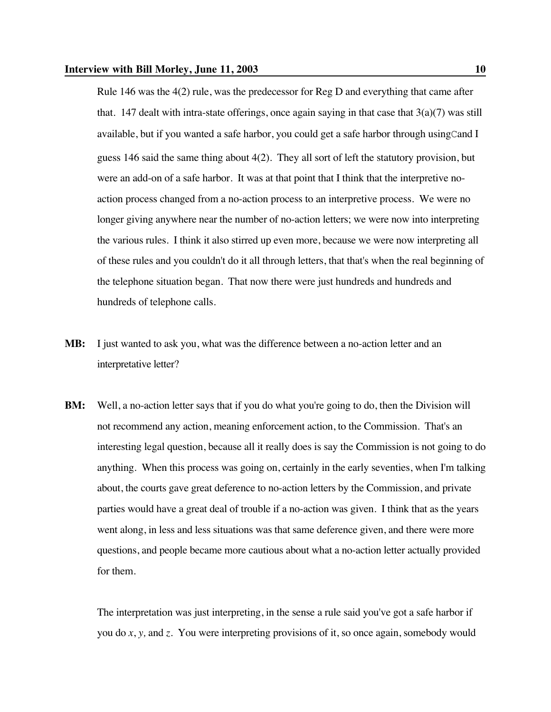Rule 146 was the 4(2) rule, was the predecessor for Reg D and everything that came after that. 147 dealt with intra-state offerings, once again saying in that case that  $3(a)(7)$  was still available, but if you wanted a safe harbor, you could get a safe harbor through usingCand I guess 146 said the same thing about 4(2). They all sort of left the statutory provision, but were an add-on of a safe harbor. It was at that point that I think that the interpretive noaction process changed from a no-action process to an interpretive process. We were no longer giving anywhere near the number of no-action letters; we were now into interpreting the various rules. I think it also stirred up even more, because we were now interpreting all of these rules and you couldn't do it all through letters, that that's when the real beginning of the telephone situation began. That now there were just hundreds and hundreds and hundreds of telephone calls.

- **MB:** I just wanted to ask you, what was the difference between a no-action letter and an interpretative letter?
- **BM:** Well, a no-action letter says that if you do what you're going to do, then the Division will not recommend any action, meaning enforcement action, to the Commission. That's an interesting legal question, because all it really does is say the Commission is not going to do anything. When this process was going on, certainly in the early seventies, when I'm talking about, the courts gave great deference to no-action letters by the Commission, and private parties would have a great deal of trouble if a no-action was given. I think that as the years went along, in less and less situations was that same deference given, and there were more questions, and people became more cautious about what a no-action letter actually provided for them.

The interpretation was just interpreting, in the sense a rule said you've got a safe harbor if you do *x*, *y,* and *z*. You were interpreting provisions of it, so once again, somebody would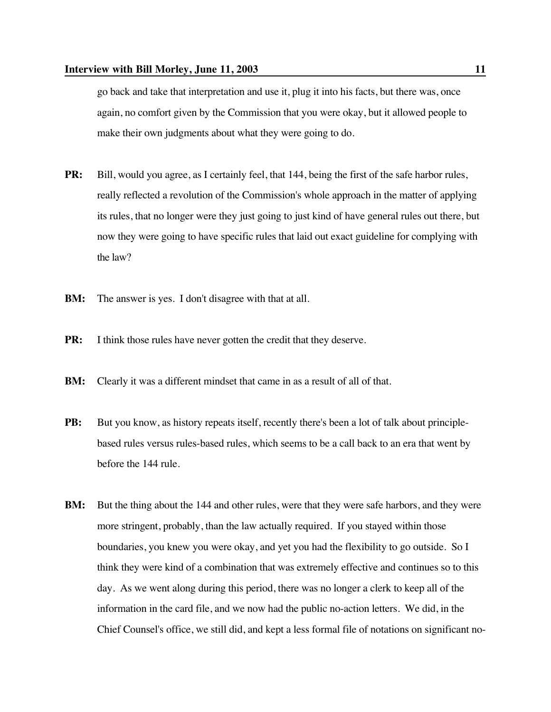go back and take that interpretation and use it, plug it into his facts, but there was, once again, no comfort given by the Commission that you were okay, but it allowed people to make their own judgments about what they were going to do.

- **PR:** Bill, would you agree, as I certainly feel, that 144, being the first of the safe harbor rules, really reflected a revolution of the Commission's whole approach in the matter of applying its rules, that no longer were they just going to just kind of have general rules out there, but now they were going to have specific rules that laid out exact guideline for complying with the law?
- **BM:** The answer is yes. I don't disagree with that at all.
- **PR:** I think those rules have never gotten the credit that they deserve.
- **BM:** Clearly it was a different mindset that came in as a result of all of that.
- **PB:** But you know, as history repeats itself, recently there's been a lot of talk about principlebased rules versus rules-based rules, which seems to be a call back to an era that went by before the 144 rule.
- **BM:** But the thing about the 144 and other rules, were that they were safe harbors, and they were more stringent, probably, than the law actually required. If you stayed within those boundaries, you knew you were okay, and yet you had the flexibility to go outside. So I think they were kind of a combination that was extremely effective and continues so to this day. As we went along during this period, there was no longer a clerk to keep all of the information in the card file, and we now had the public no-action letters. We did, in the Chief Counsel's office, we still did, and kept a less formal file of notations on significant no-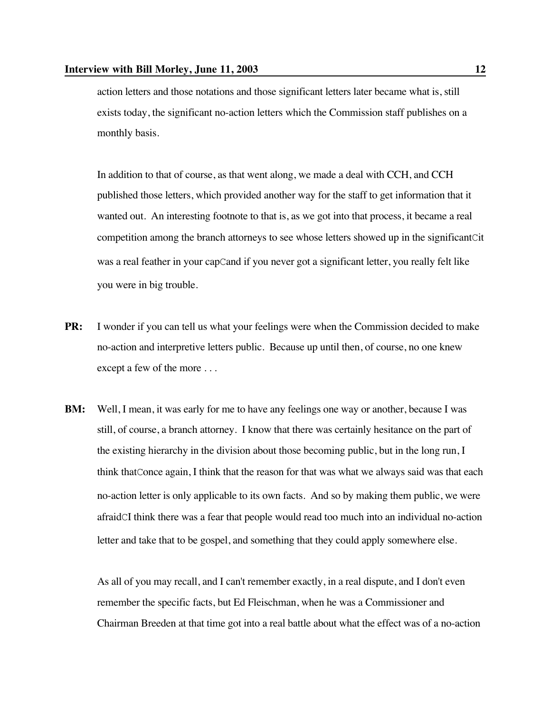action letters and those notations and those significant letters later became what is, still exists today, the significant no-action letters which the Commission staff publishes on a monthly basis.

In addition to that of course, as that went along, we made a deal with CCH, and CCH published those letters, which provided another way for the staff to get information that it wanted out. An interesting footnote to that is, as we got into that process, it became a real competition among the branch attorneys to see whose letters showed up in the significantCit was a real feather in your capCand if you never got a significant letter, you really felt like you were in big trouble.

- **PR:** I wonder if you can tell us what your feelings were when the Commission decided to make no-action and interpretive letters public. Because up until then, of course, no one knew except a few of the more . . .
- **BM:** Well, I mean, it was early for me to have any feelings one way or another, because I was still, of course, a branch attorney. I know that there was certainly hesitance on the part of the existing hierarchy in the division about those becoming public, but in the long run, I think thatConce again, I think that the reason for that was what we always said was that each no-action letter is only applicable to its own facts. And so by making them public, we were afraidCI think there was a fear that people would read too much into an individual no-action letter and take that to be gospel, and something that they could apply somewhere else.

As all of you may recall, and I can't remember exactly, in a real dispute, and I don't even remember the specific facts, but Ed Fleischman, when he was a Commissioner and Chairman Breeden at that time got into a real battle about what the effect was of a no-action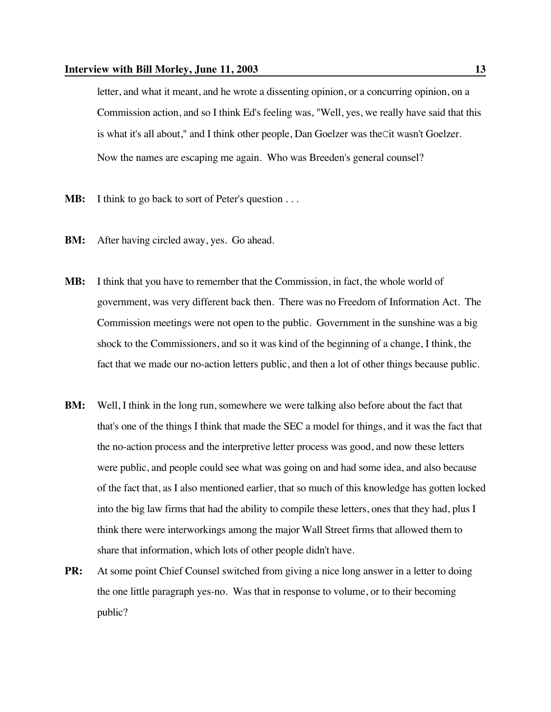# **Interview with Bill Morley, June 11, 2003** 13

letter, and what it meant, and he wrote a dissenting opinion, or a concurring opinion, on a Commission action, and so I think Ed's feeling was, "Well, yes, we really have said that this is what it's all about," and I think other people, Dan Goelzer was theCit wasn't Goelzer. Now the names are escaping me again. Who was Breeden's general counsel?

- **MB:** I think to go back to sort of Peter's question . . .
- **BM:** After having circled away, yes. Go ahead.
- **MB:** I think that you have to remember that the Commission, in fact, the whole world of government, was very different back then. There was no Freedom of Information Act. The Commission meetings were not open to the public. Government in the sunshine was a big shock to the Commissioners, and so it was kind of the beginning of a change, I think, the fact that we made our no-action letters public, and then a lot of other things because public.
- **BM:** Well, I think in the long run, somewhere we were talking also before about the fact that that's one of the things I think that made the SEC a model for things, and it was the fact that the no-action process and the interpretive letter process was good, and now these letters were public, and people could see what was going on and had some idea, and also because of the fact that, as I also mentioned earlier, that so much of this knowledge has gotten locked into the big law firms that had the ability to compile these letters, ones that they had, plus I think there were interworkings among the major Wall Street firms that allowed them to share that information, which lots of other people didn't have.
- **PR:** At some point Chief Counsel switched from giving a nice long answer in a letter to doing the one little paragraph yes-no. Was that in response to volume, or to their becoming public?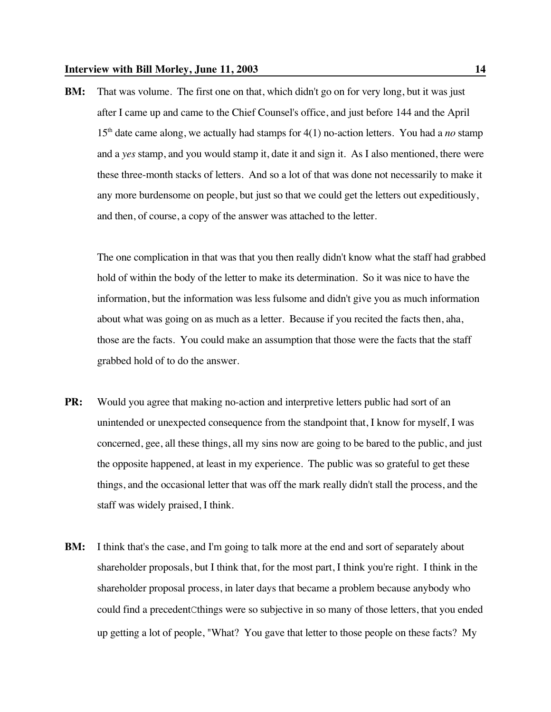**BM:** That was volume. The first one on that, which didn't go on for very long, but it was just after I came up and came to the Chief Counsel's office, and just before 144 and the April  $15<sup>th</sup>$  date came along, we actually had stamps for  $4(1)$  no-action letters. You had a *no* stamp and a *yes* stamp, and you would stamp it, date it and sign it. As I also mentioned, there were these three-month stacks of letters. And so a lot of that was done not necessarily to make it any more burdensome on people, but just so that we could get the letters out expeditiously, and then, of course, a copy of the answer was attached to the letter.

The one complication in that was that you then really didn't know what the staff had grabbed hold of within the body of the letter to make its determination. So it was nice to have the information, but the information was less fulsome and didn't give you as much information about what was going on as much as a letter. Because if you recited the facts then, aha, those are the facts. You could make an assumption that those were the facts that the staff grabbed hold of to do the answer.

- **PR:** Would you agree that making no-action and interpretive letters public had sort of an unintended or unexpected consequence from the standpoint that, I know for myself, I was concerned, gee, all these things, all my sins now are going to be bared to the public, and just the opposite happened, at least in my experience. The public was so grateful to get these things, and the occasional letter that was off the mark really didn't stall the process, and the staff was widely praised, I think.
- **BM:** I think that's the case, and I'm going to talk more at the end and sort of separately about shareholder proposals, but I think that, for the most part, I think you're right. I think in the shareholder proposal process, in later days that became a problem because anybody who could find a precedentCthings were so subjective in so many of those letters, that you ended up getting a lot of people, "What? You gave that letter to those people on these facts? My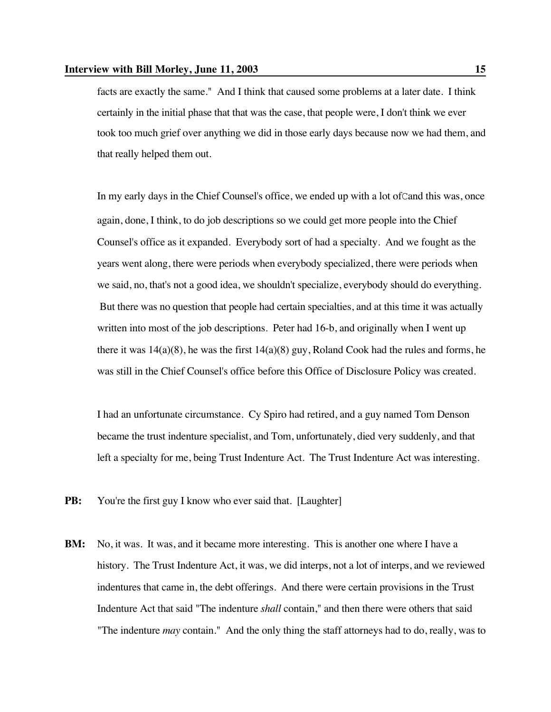facts are exactly the same." And I think that caused some problems at a later date. I think certainly in the initial phase that that was the case, that people were, I don't think we ever took too much grief over anything we did in those early days because now we had them, and that really helped them out.

In my early days in the Chief Counsel's office, we ended up with a lot ofCand this was, once again, done, I think, to do job descriptions so we could get more people into the Chief Counsel's office as it expanded. Everybody sort of had a specialty. And we fought as the years went along, there were periods when everybody specialized, there were periods when we said, no, that's not a good idea, we shouldn't specialize, everybody should do everything. But there was no question that people had certain specialties, and at this time it was actually written into most of the job descriptions. Peter had 16-b, and originally when I went up there it was  $14(a)(8)$ , he was the first  $14(a)(8)$  guy, Roland Cook had the rules and forms, he was still in the Chief Counsel's office before this Office of Disclosure Policy was created.

I had an unfortunate circumstance. Cy Spiro had retired, and a guy named Tom Denson became the trust indenture specialist, and Tom, unfortunately, died very suddenly, and that left a specialty for me, being Trust Indenture Act. The Trust Indenture Act was interesting.

- **PB:** You're the first guy I know who ever said that. [Laughter]
- **BM:** No, it was. It was, and it became more interesting. This is another one where I have a history. The Trust Indenture Act, it was, we did interps, not a lot of interps, and we reviewed indentures that came in, the debt offerings. And there were certain provisions in the Trust Indenture Act that said "The indenture *shall* contain," and then there were others that said "The indenture *may* contain." And the only thing the staff attorneys had to do, really, was to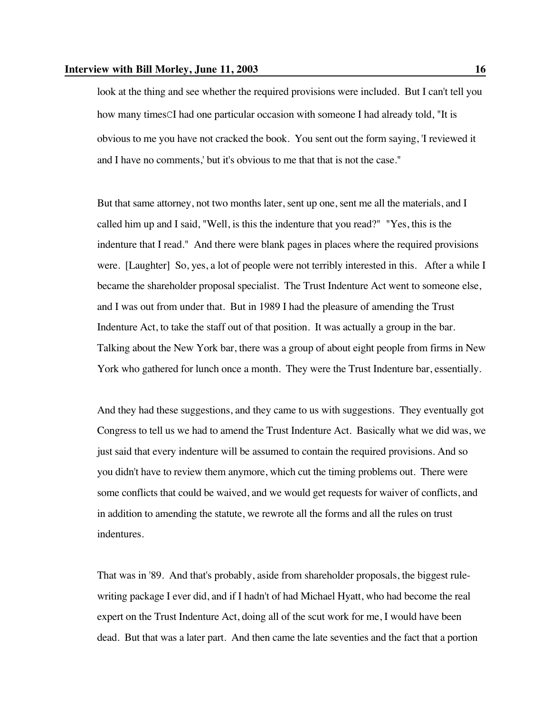look at the thing and see whether the required provisions were included. But I can't tell you how many timesCI had one particular occasion with someone I had already told, "It is obvious to me you have not cracked the book. You sent out the form saying, 'I reviewed it and I have no comments,' but it's obvious to me that that is not the case."

But that same attorney, not two months later, sent up one, sent me all the materials, and I called him up and I said, "Well, is this the indenture that you read?" "Yes, this is the indenture that I read." And there were blank pages in places where the required provisions were. [Laughter] So, yes, a lot of people were not terribly interested in this. After a while I became the shareholder proposal specialist. The Trust Indenture Act went to someone else, and I was out from under that. But in 1989 I had the pleasure of amending the Trust Indenture Act, to take the staff out of that position. It was actually a group in the bar. Talking about the New York bar, there was a group of about eight people from firms in New York who gathered for lunch once a month. They were the Trust Indenture bar, essentially.

And they had these suggestions, and they came to us with suggestions. They eventually got Congress to tell us we had to amend the Trust Indenture Act. Basically what we did was, we just said that every indenture will be assumed to contain the required provisions. And so you didn't have to review them anymore, which cut the timing problems out. There were some conflicts that could be waived, and we would get requests for waiver of conflicts, and in addition to amending the statute, we rewrote all the forms and all the rules on trust indentures.

That was in '89. And that's probably, aside from shareholder proposals, the biggest rulewriting package I ever did, and if I hadn't of had Michael Hyatt, who had become the real expert on the Trust Indenture Act, doing all of the scut work for me, I would have been dead. But that was a later part. And then came the late seventies and the fact that a portion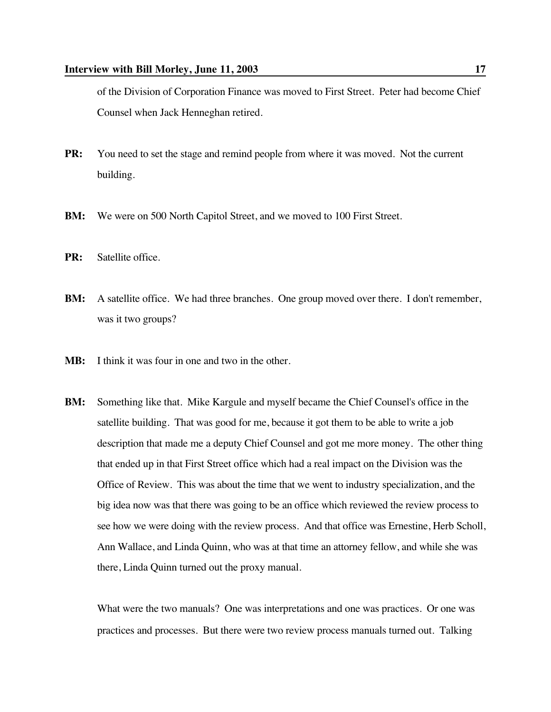of the Division of Corporation Finance was moved to First Street. Peter had become Chief Counsel when Jack Henneghan retired.

- **PR:** You need to set the stage and remind people from where it was moved. Not the current building.
- **BM:** We were on 500 North Capitol Street, and we moved to 100 First Street.
- **PR:** Satellite office.
- **BM:** A satellite office. We had three branches. One group moved over there. I don't remember, was it two groups?
- **MB:** I think it was four in one and two in the other.
- **BM:** Something like that. Mike Kargule and myself became the Chief Counsel's office in the satellite building. That was good for me, because it got them to be able to write a job description that made me a deputy Chief Counsel and got me more money. The other thing that ended up in that First Street office which had a real impact on the Division was the Office of Review. This was about the time that we went to industry specialization, and the big idea now was that there was going to be an office which reviewed the review process to see how we were doing with the review process. And that office was Ernestine, Herb Scholl, Ann Wallace, and Linda Quinn, who was at that time an attorney fellow, and while she was there, Linda Quinn turned out the proxy manual.

What were the two manuals? One was interpretations and one was practices. Or one was practices and processes. But there were two review process manuals turned out. Talking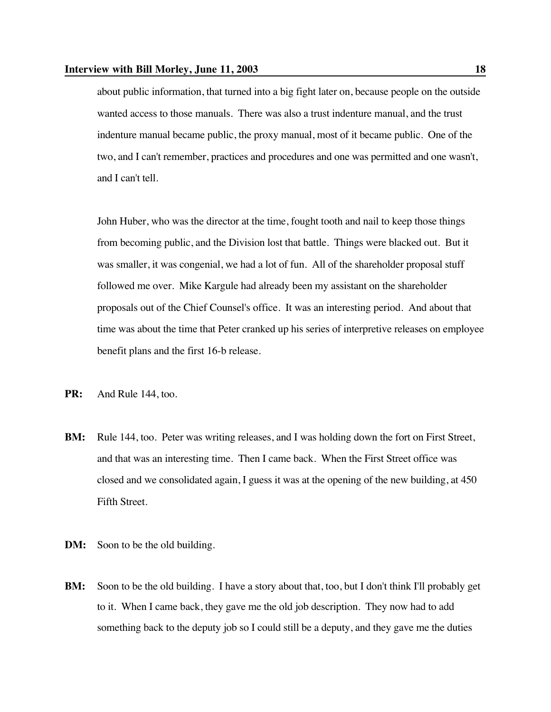about public information, that turned into a big fight later on, because people on the outside wanted access to those manuals. There was also a trust indenture manual, and the trust indenture manual became public, the proxy manual, most of it became public. One of the two, and I can't remember, practices and procedures and one was permitted and one wasn't, and I can't tell.

John Huber, who was the director at the time, fought tooth and nail to keep those things from becoming public, and the Division lost that battle. Things were blacked out. But it was smaller, it was congenial, we had a lot of fun. All of the shareholder proposal stuff followed me over. Mike Kargule had already been my assistant on the shareholder proposals out of the Chief Counsel's office. It was an interesting period. And about that time was about the time that Peter cranked up his series of interpretive releases on employee benefit plans and the first 16-b release.

- **PR:** And Rule 144, too.
- **BM:** Rule 144, too. Peter was writing releases, and I was holding down the fort on First Street, and that was an interesting time. Then I came back. When the First Street office was closed and we consolidated again, I guess it was at the opening of the new building, at 450 Fifth Street.
- **DM:** Soon to be the old building.
- **BM:** Soon to be the old building. I have a story about that, too, but I don't think I'll probably get to it. When I came back, they gave me the old job description. They now had to add something back to the deputy job so I could still be a deputy, and they gave me the duties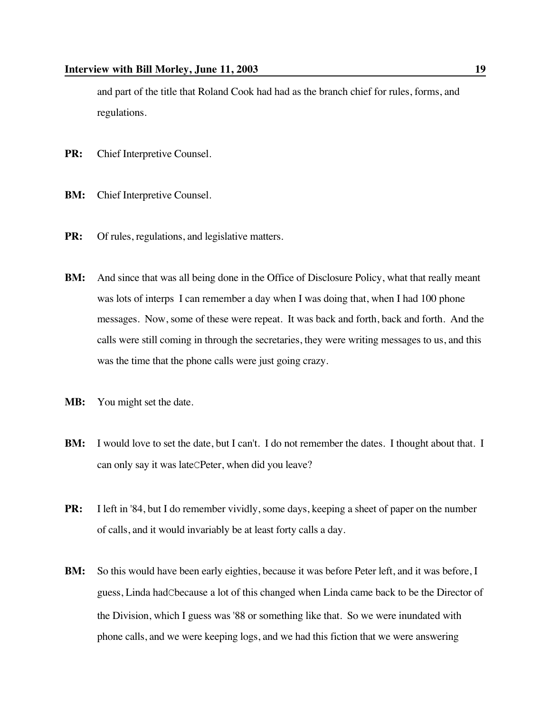and part of the title that Roland Cook had had as the branch chief for rules, forms, and regulations.

- **PR:** Chief Interpretive Counsel.
- **BM:** Chief Interpretive Counsel.
- **PR:** Of rules, regulations, and legislative matters.
- **BM:** And since that was all being done in the Office of Disclosure Policy, what that really meant was lots of interps I can remember a day when I was doing that, when I had 100 phone messages. Now, some of these were repeat. It was back and forth, back and forth. And the calls were still coming in through the secretaries, they were writing messages to us, and this was the time that the phone calls were just going crazy.
- **MB:** You might set the date.
- **BM:** I would love to set the date, but I can't. I do not remember the dates. I thought about that. I can only say it was lateCPeter, when did you leave?
- **PR:** I left in '84, but I do remember vividly, some days, keeping a sheet of paper on the number of calls, and it would invariably be at least forty calls a day.
- **BM:** So this would have been early eighties, because it was before Peter left, and it was before, I guess, Linda hadCbecause a lot of this changed when Linda came back to be the Director of the Division, which I guess was '88 or something like that. So we were inundated with phone calls, and we were keeping logs, and we had this fiction that we were answering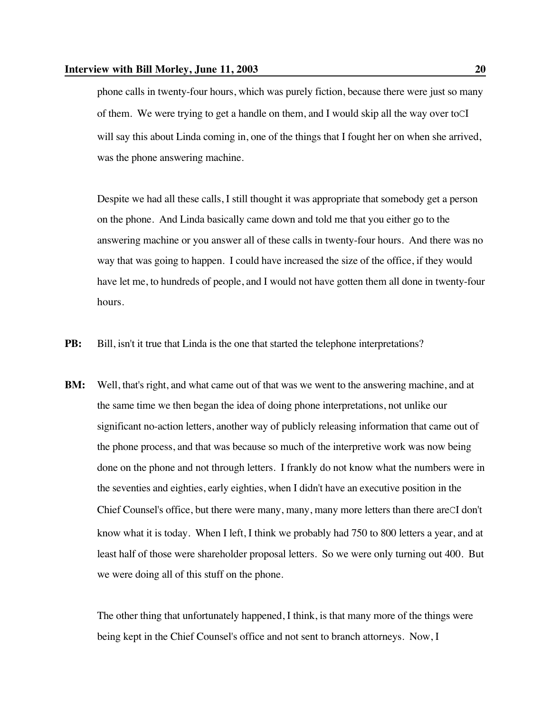phone calls in twenty-four hours, which was purely fiction, because there were just so many of them. We were trying to get a handle on them, and I would skip all the way over toCI will say this about Linda coming in, one of the things that I fought her on when she arrived, was the phone answering machine.

Despite we had all these calls, I still thought it was appropriate that somebody get a person on the phone. And Linda basically came down and told me that you either go to the answering machine or you answer all of these calls in twenty-four hours. And there was no way that was going to happen. I could have increased the size of the office, if they would have let me, to hundreds of people, and I would not have gotten them all done in twenty-four hours.

- **PB:** Bill, isn't it true that Linda is the one that started the telephone interpretations?
- **BM:** Well, that's right, and what came out of that was we went to the answering machine, and at the same time we then began the idea of doing phone interpretations, not unlike our significant no-action letters, another way of publicly releasing information that came out of the phone process, and that was because so much of the interpretive work was now being done on the phone and not through letters. I frankly do not know what the numbers were in the seventies and eighties, early eighties, when I didn't have an executive position in the Chief Counsel's office, but there were many, many, many more letters than there areCI don't know what it is today. When I left, I think we probably had 750 to 800 letters a year, and at least half of those were shareholder proposal letters. So we were only turning out 400. But we were doing all of this stuff on the phone.

The other thing that unfortunately happened, I think, is that many more of the things were being kept in the Chief Counsel's office and not sent to branch attorneys. Now, I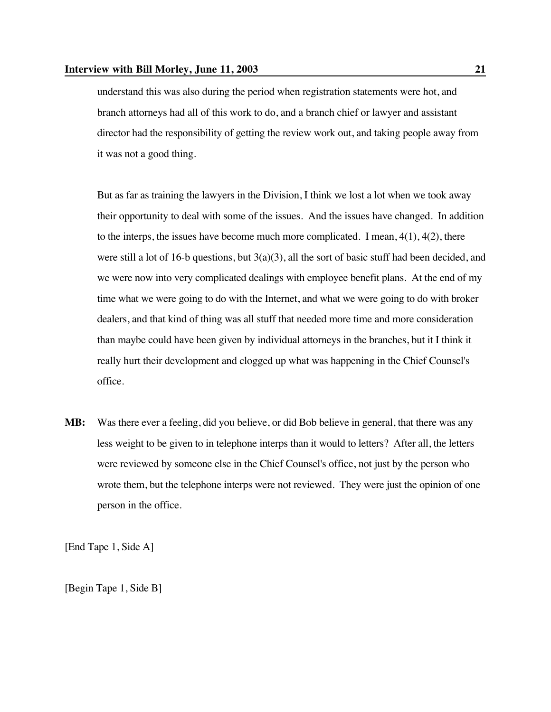understand this was also during the period when registration statements were hot, and branch attorneys had all of this work to do, and a branch chief or lawyer and assistant director had the responsibility of getting the review work out, and taking people away from it was not a good thing.

But as far as training the lawyers in the Division, I think we lost a lot when we took away their opportunity to deal with some of the issues. And the issues have changed. In addition to the interps, the issues have become much more complicated. I mean,  $4(1)$ ,  $4(2)$ , there were still a lot of 16-b questions, but 3(a)(3), all the sort of basic stuff had been decided, and we were now into very complicated dealings with employee benefit plans. At the end of my time what we were going to do with the Internet, and what we were going to do with broker dealers, and that kind of thing was all stuff that needed more time and more consideration than maybe could have been given by individual attorneys in the branches, but it I think it really hurt their development and clogged up what was happening in the Chief Counsel's office.

**MB:** Was there ever a feeling, did you believe, or did Bob believe in general, that there was any less weight to be given to in telephone interps than it would to letters? After all, the letters were reviewed by someone else in the Chief Counsel's office, not just by the person who wrote them, but the telephone interps were not reviewed. They were just the opinion of one person in the office.

[End Tape 1, Side A]

[Begin Tape 1, Side B]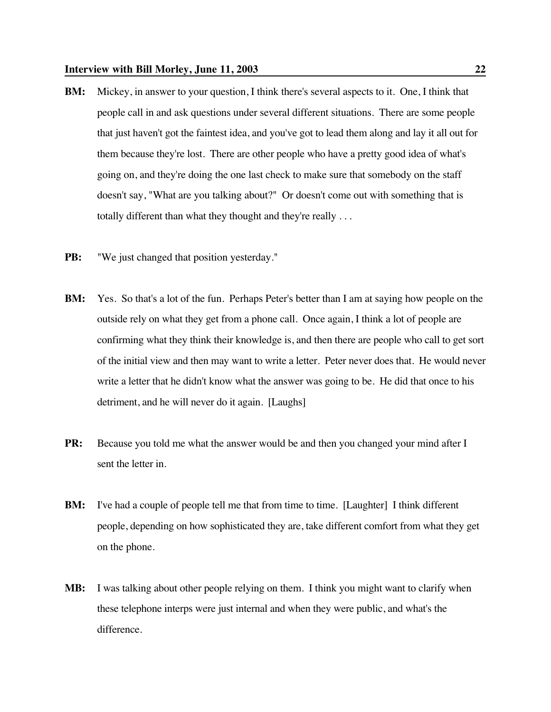- **BM:** Mickey, in answer to your question, I think there's several aspects to it. One, I think that people call in and ask questions under several different situations. There are some people that just haven't got the faintest idea, and you've got to lead them along and lay it all out for them because they're lost. There are other people who have a pretty good idea of what's going on, and they're doing the one last check to make sure that somebody on the staff doesn't say, "What are you talking about?" Or doesn't come out with something that is totally different than what they thought and they're really . . .
- **PB:** "We just changed that position yesterday."
- **BM:** Yes. So that's a lot of the fun. Perhaps Peter's better than I am at saying how people on the outside rely on what they get from a phone call. Once again, I think a lot of people are confirming what they think their knowledge is, and then there are people who call to get sort of the initial view and then may want to write a letter. Peter never does that. He would never write a letter that he didn't know what the answer was going to be. He did that once to his detriment, and he will never do it again. [Laughs]
- **PR:** Because you told me what the answer would be and then you changed your mind after I sent the letter in.
- **BM:** I've had a couple of people tell me that from time to time. [Laughter] I think different people, depending on how sophisticated they are, take different comfort from what they get on the phone.
- **MB:** I was talking about other people relying on them. I think you might want to clarify when these telephone interps were just internal and when they were public, and what's the difference.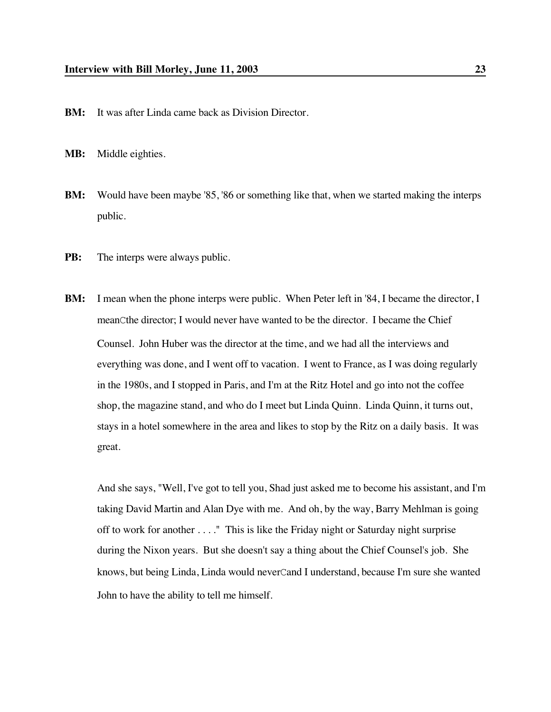**BM:** It was after Linda came back as Division Director.

**MB:** Middle eighties.

- **BM:** Would have been maybe '85, '86 or something like that, when we started making the interps public.
- **PB:** The interps were always public.
- **BM:** I mean when the phone interps were public. When Peter left in '84, I became the director, I meanCthe director; I would never have wanted to be the director. I became the Chief Counsel. John Huber was the director at the time, and we had all the interviews and everything was done, and I went off to vacation. I went to France, as I was doing regularly in the 1980s, and I stopped in Paris, and I'm at the Ritz Hotel and go into not the coffee shop, the magazine stand, and who do I meet but Linda Quinn. Linda Quinn, it turns out, stays in a hotel somewhere in the area and likes to stop by the Ritz on a daily basis. It was great.

And she says, "Well, I've got to tell you, Shad just asked me to become his assistant, and I'm taking David Martin and Alan Dye with me. And oh, by the way, Barry Mehlman is going off to work for another . . . ." This is like the Friday night or Saturday night surprise during the Nixon years. But she doesn't say a thing about the Chief Counsel's job. She knows, but being Linda, Linda would neverCand I understand, because I'm sure she wanted John to have the ability to tell me himself.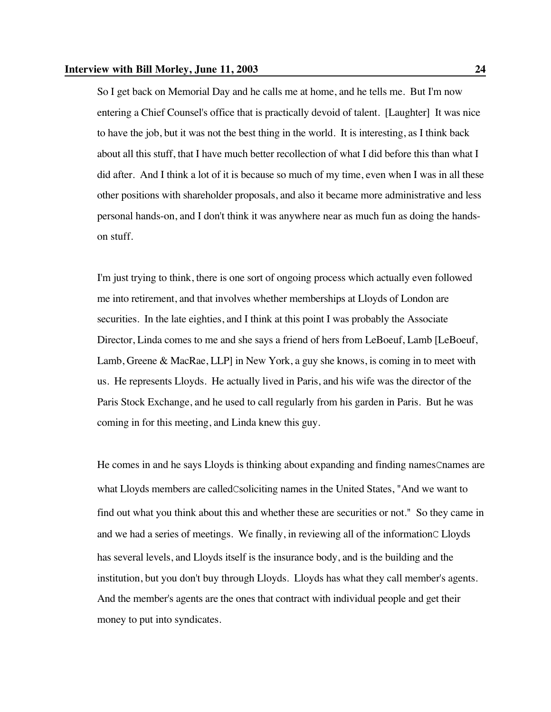So I get back on Memorial Day and he calls me at home, and he tells me. But I'm now entering a Chief Counsel's office that is practically devoid of talent. [Laughter] It was nice to have the job, but it was not the best thing in the world. It is interesting, as I think back about all this stuff, that I have much better recollection of what I did before this than what I did after. And I think a lot of it is because so much of my time, even when I was in all these other positions with shareholder proposals, and also it became more administrative and less personal hands-on, and I don't think it was anywhere near as much fun as doing the handson stuff.

I'm just trying to think, there is one sort of ongoing process which actually even followed me into retirement, and that involves whether memberships at Lloyds of London are securities. In the late eighties, and I think at this point I was probably the Associate Director, Linda comes to me and she says a friend of hers from LeBoeuf, Lamb [LeBoeuf, Lamb, Greene & MacRae, LLP] in New York, a guy she knows, is coming in to meet with us. He represents Lloyds. He actually lived in Paris, and his wife was the director of the Paris Stock Exchange, and he used to call regularly from his garden in Paris. But he was coming in for this meeting, and Linda knew this guy.

He comes in and he says Lloyds is thinking about expanding and finding namesCnames are what Lloyds members are calledCsoliciting names in the United States, "And we want to find out what you think about this and whether these are securities or not." So they came in and we had a series of meetings. We finally, in reviewing all of the informationC Lloyds has several levels, and Lloyds itself is the insurance body, and is the building and the institution, but you don't buy through Lloyds. Lloyds has what they call member's agents. And the member's agents are the ones that contract with individual people and get their money to put into syndicates.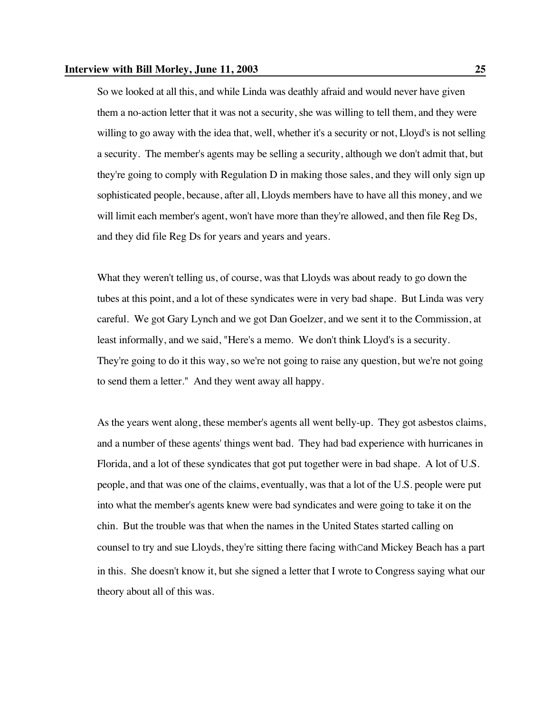### **Interview with Bill Morley, June 11, 2003 25**

So we looked at all this, and while Linda was deathly afraid and would never have given them a no-action letter that it was not a security, she was willing to tell them, and they were willing to go away with the idea that, well, whether it's a security or not, Lloyd's is not selling a security. The member's agents may be selling a security, although we don't admit that, but they're going to comply with Regulation D in making those sales, and they will only sign up sophisticated people, because, after all, Lloyds members have to have all this money, and we will limit each member's agent, won't have more than they're allowed, and then file Reg Ds, and they did file Reg Ds for years and years and years.

What they weren't telling us, of course, was that Lloyds was about ready to go down the tubes at this point, and a lot of these syndicates were in very bad shape. But Linda was very careful. We got Gary Lynch and we got Dan Goelzer, and we sent it to the Commission, at least informally, and we said, "Here's a memo. We don't think Lloyd's is a security. They're going to do it this way, so we're not going to raise any question, but we're not going to send them a letter." And they went away all happy.

As the years went along, these member's agents all went belly-up. They got asbestos claims, and a number of these agents' things went bad. They had bad experience with hurricanes in Florida, and a lot of these syndicates that got put together were in bad shape. A lot of U.S. people, and that was one of the claims, eventually, was that a lot of the U.S. people were put into what the member's agents knew were bad syndicates and were going to take it on the chin. But the trouble was that when the names in the United States started calling on counsel to try and sue Lloyds, they're sitting there facing withCand Mickey Beach has a part in this. She doesn't know it, but she signed a letter that I wrote to Congress saying what our theory about all of this was.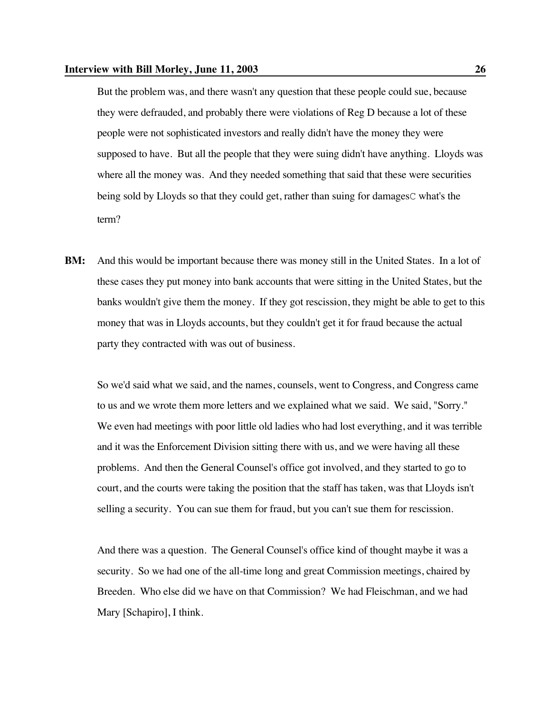But the problem was, and there wasn't any question that these people could sue, because they were defrauded, and probably there were violations of Reg D because a lot of these people were not sophisticated investors and really didn't have the money they were supposed to have. But all the people that they were suing didn't have anything. Lloyds was where all the money was. And they needed something that said that these were securities being sold by Lloyds so that they could get, rather than suing for damagesC what's the term?

**BM:** And this would be important because there was money still in the United States. In a lot of these cases they put money into bank accounts that were sitting in the United States, but the banks wouldn't give them the money. If they got rescission, they might be able to get to this money that was in Lloyds accounts, but they couldn't get it for fraud because the actual party they contracted with was out of business.

So we'd said what we said, and the names, counsels, went to Congress, and Congress came to us and we wrote them more letters and we explained what we said. We said, "Sorry." We even had meetings with poor little old ladies who had lost everything, and it was terrible and it was the Enforcement Division sitting there with us, and we were having all these problems. And then the General Counsel's office got involved, and they started to go to court, and the courts were taking the position that the staff has taken, was that Lloyds isn't selling a security. You can sue them for fraud, but you can't sue them for rescission.

And there was a question. The General Counsel's office kind of thought maybe it was a security. So we had one of the all-time long and great Commission meetings, chaired by Breeden. Who else did we have on that Commission? We had Fleischman, and we had Mary [Schapiro], I think.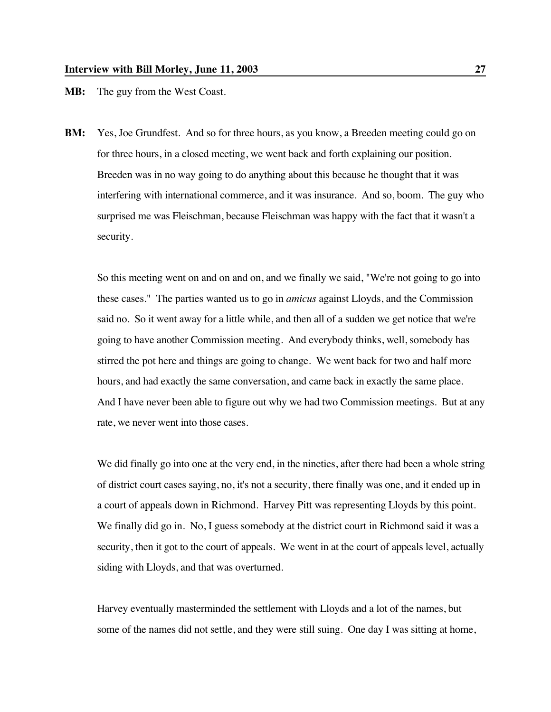**MB:** The guy from the West Coast.

**BM:** Yes, Joe Grundfest. And so for three hours, as you know, a Breeden meeting could go on for three hours, in a closed meeting, we went back and forth explaining our position. Breeden was in no way going to do anything about this because he thought that it was interfering with international commerce, and it was insurance. And so, boom. The guy who surprised me was Fleischman, because Fleischman was happy with the fact that it wasn't a security.

So this meeting went on and on and on, and we finally we said, "We're not going to go into these cases." The parties wanted us to go in *amicus* against Lloyds, and the Commission said no. So it went away for a little while, and then all of a sudden we get notice that we're going to have another Commission meeting. And everybody thinks, well, somebody has stirred the pot here and things are going to change. We went back for two and half more hours, and had exactly the same conversation, and came back in exactly the same place. And I have never been able to figure out why we had two Commission meetings. But at any rate, we never went into those cases.

We did finally go into one at the very end, in the nineties, after there had been a whole string of district court cases saying, no, it's not a security, there finally was one, and it ended up in a court of appeals down in Richmond. Harvey Pitt was representing Lloyds by this point. We finally did go in. No, I guess somebody at the district court in Richmond said it was a security, then it got to the court of appeals. We went in at the court of appeals level, actually siding with Lloyds, and that was overturned.

Harvey eventually masterminded the settlement with Lloyds and a lot of the names, but some of the names did not settle, and they were still suing. One day I was sitting at home,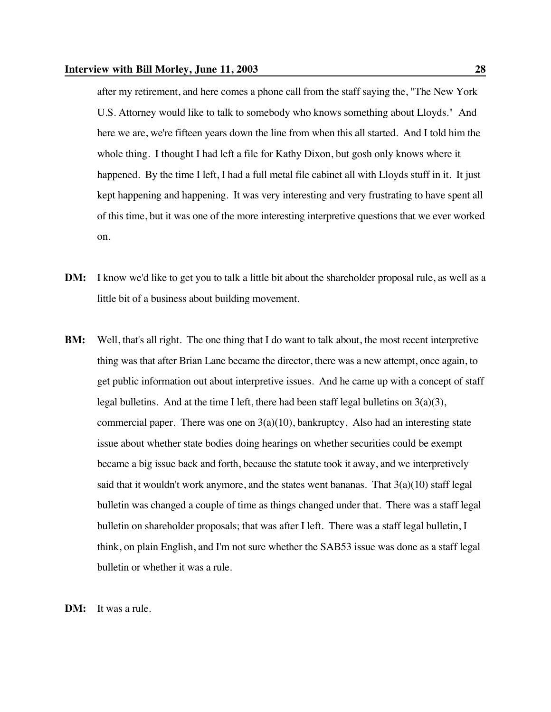after my retirement, and here comes a phone call from the staff saying the, "The New York U.S. Attorney would like to talk to somebody who knows something about Lloyds." And here we are, we're fifteen years down the line from when this all started. And I told him the whole thing. I thought I had left a file for Kathy Dixon, but gosh only knows where it happened. By the time I left, I had a full metal file cabinet all with Lloyds stuff in it. It just kept happening and happening. It was very interesting and very frustrating to have spent all of this time, but it was one of the more interesting interpretive questions that we ever worked on.

- **DM:** I know we'd like to get you to talk a little bit about the shareholder proposal rule, as well as a little bit of a business about building movement.
- **BM:** Well, that's all right. The one thing that I do want to talk about, the most recent interpretive thing was that after Brian Lane became the director, there was a new attempt, once again, to get public information out about interpretive issues. And he came up with a concept of staff legal bulletins. And at the time I left, there had been staff legal bulletins on  $3(a)(3)$ , commercial paper. There was one on  $3(a)(10)$ , bankruptcy. Also had an interesting state issue about whether state bodies doing hearings on whether securities could be exempt became a big issue back and forth, because the statute took it away, and we interpretively said that it wouldn't work anymore, and the states went bananas. That  $3(a)(10)$  staff legal bulletin was changed a couple of time as things changed under that. There was a staff legal bulletin on shareholder proposals; that was after I left. There was a staff legal bulletin, I think, on plain English, and I'm not sure whether the SAB53 issue was done as a staff legal bulletin or whether it was a rule.

**DM:** It was a rule.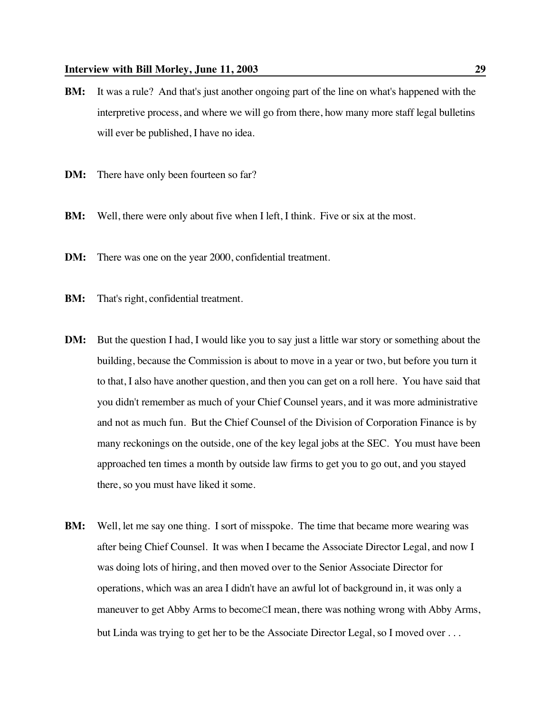- **BM:** It was a rule? And that's just another ongoing part of the line on what's happened with the interpretive process, and where we will go from there, how many more staff legal bulletins will ever be published, I have no idea.
- **DM:** There have only been fourteen so far?
- **BM:** Well, there were only about five when I left, I think. Five or six at the most.
- **DM:** There was one on the year 2000, confidential treatment.
- **BM:** That's right, confidential treatment.
- **DM:** But the question I had, I would like you to say just a little war story or something about the building, because the Commission is about to move in a year or two, but before you turn it to that, I also have another question, and then you can get on a roll here. You have said that you didn't remember as much of your Chief Counsel years, and it was more administrative and not as much fun. But the Chief Counsel of the Division of Corporation Finance is by many reckonings on the outside, one of the key legal jobs at the SEC. You must have been approached ten times a month by outside law firms to get you to go out, and you stayed there, so you must have liked it some.
- **BM:** Well, let me say one thing. I sort of misspoke. The time that became more wearing was after being Chief Counsel. It was when I became the Associate Director Legal, and now I was doing lots of hiring, and then moved over to the Senior Associate Director for operations, which was an area I didn't have an awful lot of background in, it was only a maneuver to get Abby Arms to becomeCI mean, there was nothing wrong with Abby Arms, but Linda was trying to get her to be the Associate Director Legal, so I moved over . . .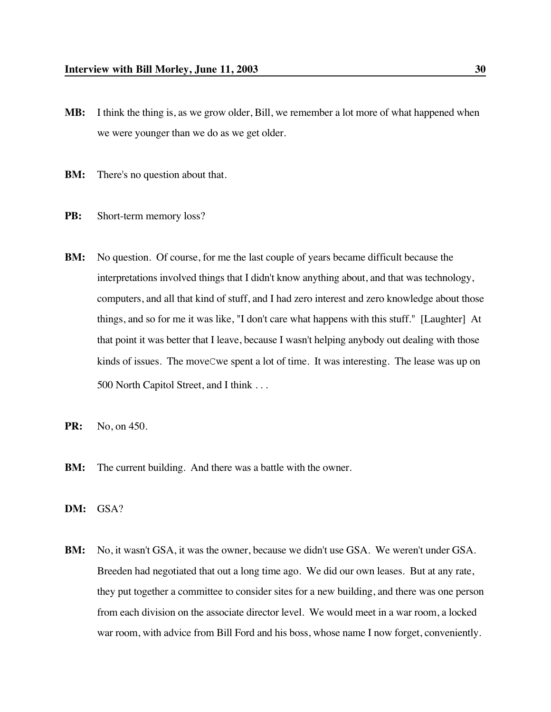- **MB:** I think the thing is, as we grow older, Bill, we remember a lot more of what happened when we were younger than we do as we get older.
- **BM:** There's no question about that.
- **PB:** Short-term memory loss?
- **BM:** No question. Of course, for me the last couple of years became difficult because the interpretations involved things that I didn't know anything about, and that was technology, computers, and all that kind of stuff, and I had zero interest and zero knowledge about those things, and so for me it was like, "I don't care what happens with this stuff." [Laughter] At that point it was better that I leave, because I wasn't helping anybody out dealing with those kinds of issues. The moveCwe spent a lot of time. It was interesting. The lease was up on 500 North Capitol Street, and I think . . .
- **PR:** No, on 450.
- **BM:** The current building. And there was a battle with the owner.
- **DM:** GSA?
- **BM:** No, it wasn't GSA, it was the owner, because we didn't use GSA. We weren't under GSA. Breeden had negotiated that out a long time ago. We did our own leases. But at any rate, they put together a committee to consider sites for a new building, and there was one person from each division on the associate director level. We would meet in a war room, a locked war room, with advice from Bill Ford and his boss, whose name I now forget, conveniently.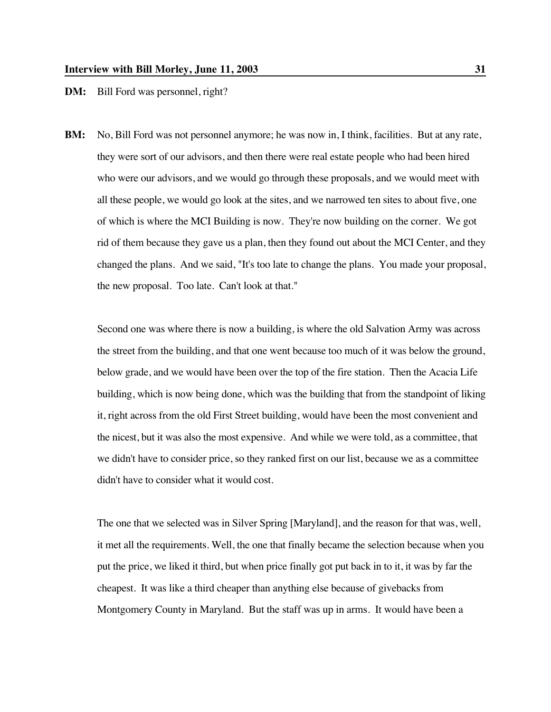**DM:** Bill Ford was personnel, right?

**BM:** No, Bill Ford was not personnel anymore; he was now in, I think, facilities. But at any rate, they were sort of our advisors, and then there were real estate people who had been hired who were our advisors, and we would go through these proposals, and we would meet with all these people, we would go look at the sites, and we narrowed ten sites to about five, one of which is where the MCI Building is now. They're now building on the corner. We got rid of them because they gave us a plan, then they found out about the MCI Center, and they changed the plans. And we said, "It's too late to change the plans. You made your proposal, the new proposal. Too late. Can't look at that."

Second one was where there is now a building, is where the old Salvation Army was across the street from the building, and that one went because too much of it was below the ground, below grade, and we would have been over the top of the fire station. Then the Acacia Life building, which is now being done, which was the building that from the standpoint of liking it, right across from the old First Street building, would have been the most convenient and the nicest, but it was also the most expensive. And while we were told, as a committee, that we didn't have to consider price, so they ranked first on our list, because we as a committee didn't have to consider what it would cost.

The one that we selected was in Silver Spring [Maryland], and the reason for that was, well, it met all the requirements. Well, the one that finally became the selection because when you put the price, we liked it third, but when price finally got put back in to it, it was by far the cheapest. It was like a third cheaper than anything else because of givebacks from Montgomery County in Maryland. But the staff was up in arms. It would have been a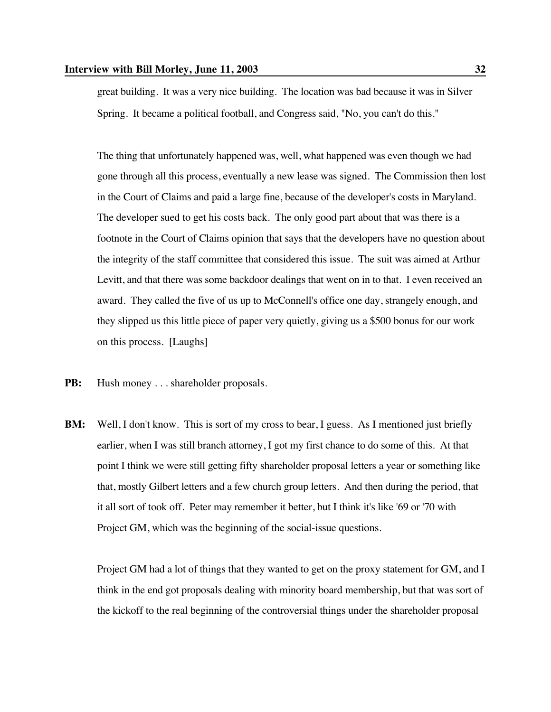great building. It was a very nice building. The location was bad because it was in Silver Spring. It became a political football, and Congress said, "No, you can't do this."

The thing that unfortunately happened was, well, what happened was even though we had gone through all this process, eventually a new lease was signed. The Commission then lost in the Court of Claims and paid a large fine, because of the developer's costs in Maryland. The developer sued to get his costs back. The only good part about that was there is a footnote in the Court of Claims opinion that says that the developers have no question about the integrity of the staff committee that considered this issue. The suit was aimed at Arthur Levitt, and that there was some backdoor dealings that went on in to that. I even received an award. They called the five of us up to McConnell's office one day, strangely enough, and they slipped us this little piece of paper very quietly, giving us a \$500 bonus for our work on this process. [Laughs]

- **PB:** Hush money . . . shareholder proposals.
- **BM:** Well, I don't know. This is sort of my cross to bear, I guess. As I mentioned just briefly earlier, when I was still branch attorney, I got my first chance to do some of this. At that point I think we were still getting fifty shareholder proposal letters a year or something like that, mostly Gilbert letters and a few church group letters. And then during the period, that it all sort of took off. Peter may remember it better, but I think it's like '69 or '70 with Project GM, which was the beginning of the social-issue questions.

Project GM had a lot of things that they wanted to get on the proxy statement for GM, and I think in the end got proposals dealing with minority board membership, but that was sort of the kickoff to the real beginning of the controversial things under the shareholder proposal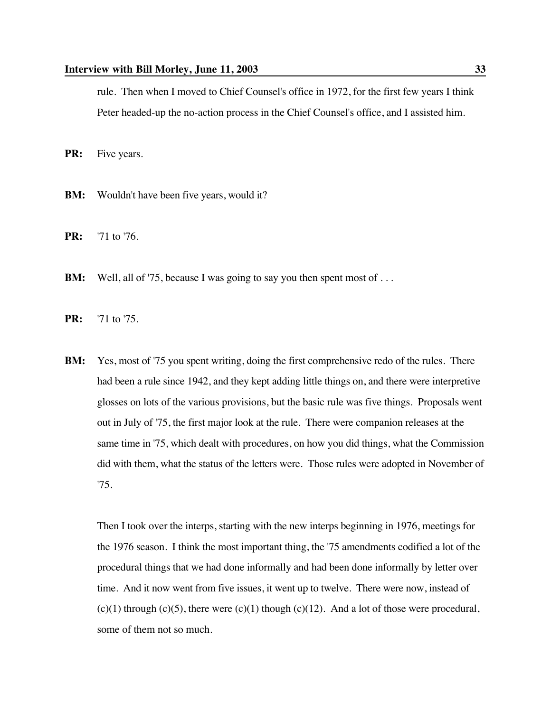rule. Then when I moved to Chief Counsel's office in 1972, for the first few years I think Peter headed-up the no-action process in the Chief Counsel's office, and I assisted him.

**PR:** Five years.

- **BM:** Wouldn't have been five years, would it?
- **PR:** '71 to '76.
- **BM:** Well, all of '75, because I was going to say you then spent most of ...

**PR:** '71 to '75.

**BM:** Yes, most of '75 you spent writing, doing the first comprehensive redo of the rules. There had been a rule since 1942, and they kept adding little things on, and there were interpretive glosses on lots of the various provisions, but the basic rule was five things. Proposals went out in July of '75, the first major look at the rule. There were companion releases at the same time in '75, which dealt with procedures, on how you did things, what the Commission did with them, what the status of the letters were. Those rules were adopted in November of '75.

Then I took over the interps, starting with the new interps beginning in 1976, meetings for the 1976 season. I think the most important thing, the '75 amendments codified a lot of the procedural things that we had done informally and had been done informally by letter over time. And it now went from five issues, it went up to twelve. There were now, instead of  $(c)(1)$  through  $(c)(5)$ , there were  $(c)(1)$  though  $(c)(12)$ . And a lot of those were procedural, some of them not so much.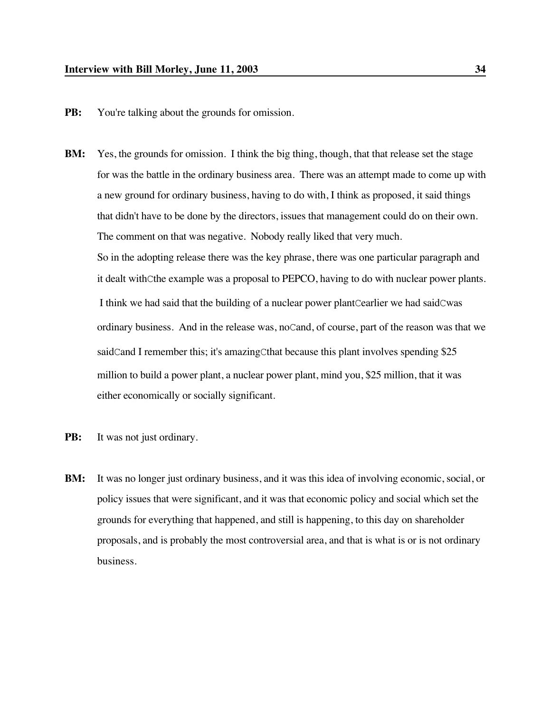- **PB:** You're talking about the grounds for omission.
- **BM:** Yes, the grounds for omission. I think the big thing, though, that that release set the stage for was the battle in the ordinary business area. There was an attempt made to come up with a new ground for ordinary business, having to do with, I think as proposed, it said things that didn't have to be done by the directors, issues that management could do on their own. The comment on that was negative. Nobody really liked that very much. So in the adopting release there was the key phrase, there was one particular paragraph and it dealt withCthe example was a proposal to PEPCO, having to do with nuclear power plants. I think we had said that the building of a nuclear power plantCearlier we had saidCwas ordinary business. And in the release was, noCand, of course, part of the reason was that we saidCand I remember this; it's amazingCthat because this plant involves spending \$25 million to build a power plant, a nuclear power plant, mind you, \$25 million, that it was either economically or socially significant.
- **PB:** It was not just ordinary.
- **BM:** It was no longer just ordinary business, and it was this idea of involving economic, social, or policy issues that were significant, and it was that economic policy and social which set the grounds for everything that happened, and still is happening, to this day on shareholder proposals, and is probably the most controversial area, and that is what is or is not ordinary business.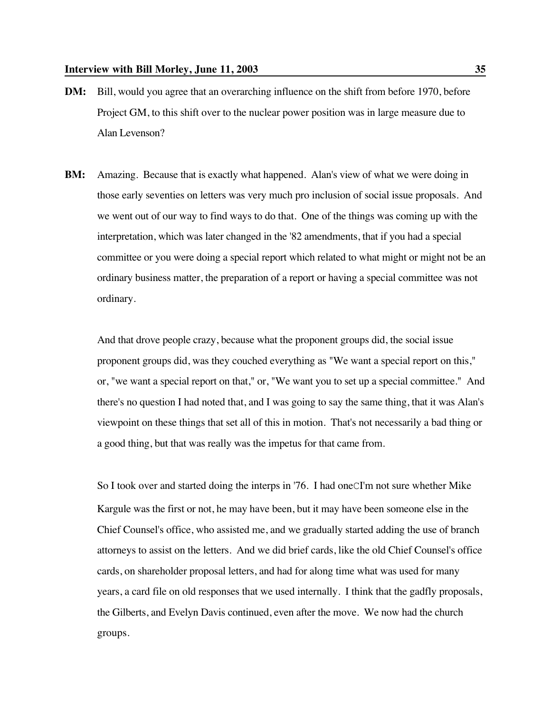- **DM:** Bill, would you agree that an overarching influence on the shift from before 1970, before Project GM, to this shift over to the nuclear power position was in large measure due to Alan Levenson?
- **BM:** Amazing. Because that is exactly what happened. Alan's view of what we were doing in those early seventies on letters was very much pro inclusion of social issue proposals. And we went out of our way to find ways to do that. One of the things was coming up with the interpretation, which was later changed in the '82 amendments, that if you had a special committee or you were doing a special report which related to what might or might not be an ordinary business matter, the preparation of a report or having a special committee was not ordinary.

And that drove people crazy, because what the proponent groups did, the social issue proponent groups did, was they couched everything as "We want a special report on this," or, "we want a special report on that," or, "We want you to set up a special committee." And there's no question I had noted that, and I was going to say the same thing, that it was Alan's viewpoint on these things that set all of this in motion. That's not necessarily a bad thing or a good thing, but that was really was the impetus for that came from.

So I took over and started doing the interps in '76. I had oneCI'm not sure whether Mike Kargule was the first or not, he may have been, but it may have been someone else in the Chief Counsel's office, who assisted me, and we gradually started adding the use of branch attorneys to assist on the letters. And we did brief cards, like the old Chief Counsel's office cards, on shareholder proposal letters, and had for along time what was used for many years, a card file on old responses that we used internally. I think that the gadfly proposals, the Gilberts, and Evelyn Davis continued, even after the move. We now had the church groups.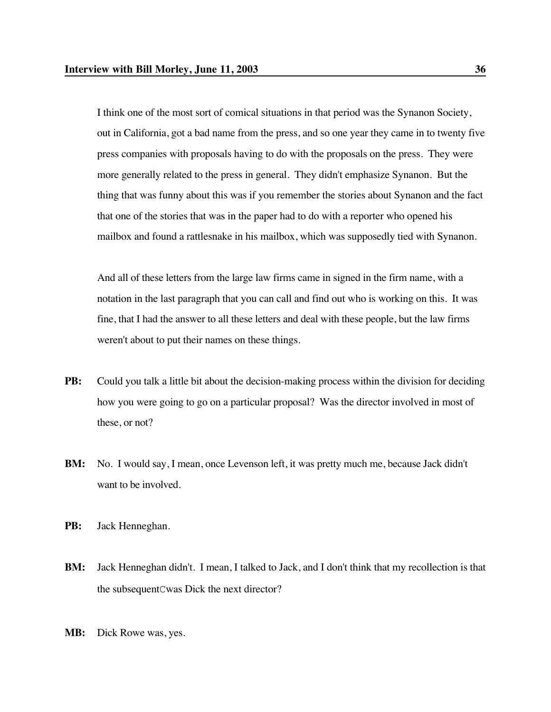I think one of the most sort of comical situations in that period was the Synanon Society, out in California, got a bad name from the press, and so one year they came in to twenty five press companies with proposals having to do with the proposals on the press. They were more generally related to the press in general. They didn't emphasize Synanon. But the thing that was funny about this was if you remember the stories about Synanon and the fact that one of the stories that was in the paper had to do with a reporter who opened his mailbox and found a rattlesnake in his mailbox, which was supposedly tied with Synanon.

And all of these letters from the large law firms came in signed in the firm name, with a notation in the last paragraph that you can call and find out who is working on this. It was fine, that I had the answer to all these letters and deal with these people, but the law firms weren't about to put their names on these things.

- **PB:** Could you talk a little bit about the decision-making process within the division for deciding how you were going to go on a particular proposal? Was the director involved in most of these, or not?
- **BM:** No. I would say, I mean, once Levenson left, it was pretty much me, because Jack didn't want to be involved.
- **PB:** Jack Henneghan.
- **BM:** Jack Henneghan didn't. I mean, I talked to Jack, and I don't think that my recollection is that the subsequentCwas Dick the next director?
- **MB:** Dick Rowe was, yes.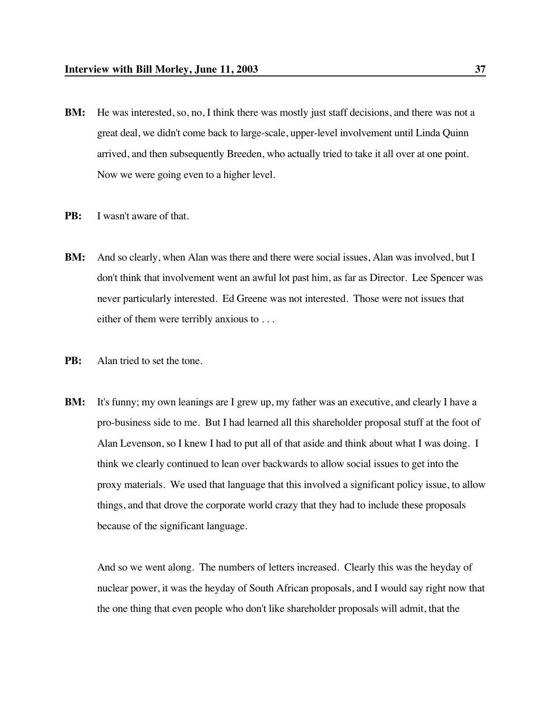- **BM:** He was interested, so, no, I think there was mostly just staff decisions, and there was not a great deal, we didn't come back to large-scale, upper-level involvement until Linda Quinn arrived, and then subsequently Breeden, who actually tried to take it all over at one point. Now we were going even to a higher level.
- **PB:** I wasn't aware of that.
- **BM:** And so clearly, when Alan was there and there were social issues, Alan was involved, but I don't think that involvement went an awful lot past him, as far as Director. Lee Spencer was never particularly interested. Ed Greene was not interested. Those were not issues that either of them were terribly anxious to . . .
- **PB:** Alan tried to set the tone.
- **BM:** It's funny; my own leanings are I grew up, my father was an executive, and clearly I have a pro-business side to me. But I had learned all this shareholder proposal stuff at the foot of Alan Levenson, so I knew I had to put all of that aside and think about what I was doing. I think we clearly continued to lean over backwards to allow social issues to get into the proxy materials. We used that language that this involved a significant policy issue, to allow things, and that drove the corporate world crazy that they had to include these proposals because of the significant language.

And so we went along. The numbers of letters increased. Clearly this was the heyday of nuclear power, it was the heyday of South African proposals, and I would say right now that the one thing that even people who don't like shareholder proposals will admit, that the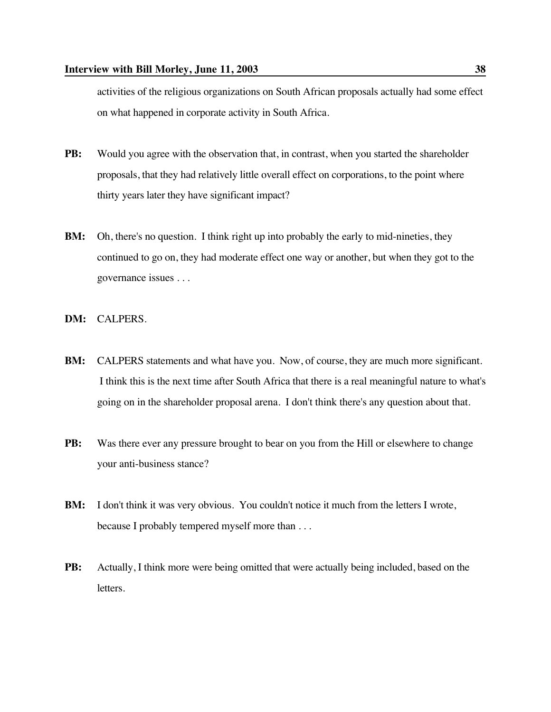activities of the religious organizations on South African proposals actually had some effect on what happened in corporate activity in South Africa.

- **PB:** Would you agree with the observation that, in contrast, when you started the shareholder proposals, that they had relatively little overall effect on corporations, to the point where thirty years later they have significant impact?
- **BM:** Oh, there's no question. I think right up into probably the early to mid-nineties, they continued to go on, they had moderate effect one way or another, but when they got to the governance issues . . .
- **DM:** CALPERS.
- **BM:** CALPERS statements and what have you. Now, of course, they are much more significant. I think this is the next time after South Africa that there is a real meaningful nature to what's going on in the shareholder proposal arena. I don't think there's any question about that.
- **PB:** Was there ever any pressure brought to bear on you from the Hill or elsewhere to change your anti-business stance?
- **BM:** I don't think it was very obvious. You couldn't notice it much from the letters I wrote, because I probably tempered myself more than . . .
- **PB:** Actually, I think more were being omitted that were actually being included, based on the letters.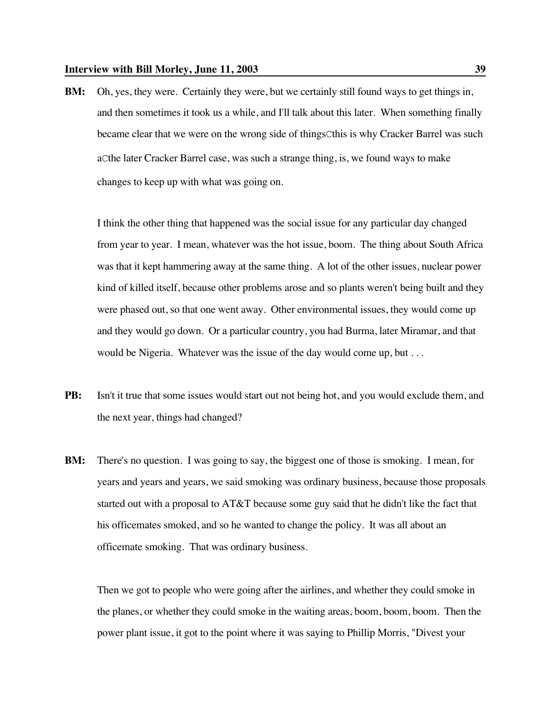**BM:** Oh, yes, they were. Certainly they were, but we certainly still found ways to get things in, and then sometimes it took us a while, and I'll talk about this later. When something finally became clear that we were on the wrong side of thingsCthis is why Cracker Barrel was such aCthe later Cracker Barrel case, was such a strange thing, is, we found ways to make changes to keep up with what was going on.

I think the other thing that happened was the social issue for any particular day changed from year to year. I mean, whatever was the hot issue, boom. The thing about South Africa was that it kept hammering away at the same thing. A lot of the other issues, nuclear power kind of killed itself, because other problems arose and so plants weren't being built and they were phased out, so that one went away. Other environmental issues, they would come up and they would go down. Or a particular country, you had Burma, later Miramar, and that would be Nigeria. Whatever was the issue of the day would come up, but . . .

- **PB:** Isn't it true that some issues would start out not being hot, and you would exclude them, and the next year, things had changed?
- **BM:** There's no question. I was going to say, the biggest one of those is smoking. I mean, for years and years and years, we said smoking was ordinary business, because those proposals started out with a proposal to AT&T because some guy said that he didn't like the fact that his officemates smoked, and so he wanted to change the policy. It was all about an officemate smoking. That was ordinary business.

Then we got to people who were going after the airlines, and whether they could smoke in the planes, or whether they could smoke in the waiting areas, boom, boom, boom. Then the power plant issue, it got to the point where it was saying to Phillip Morris, "Divest your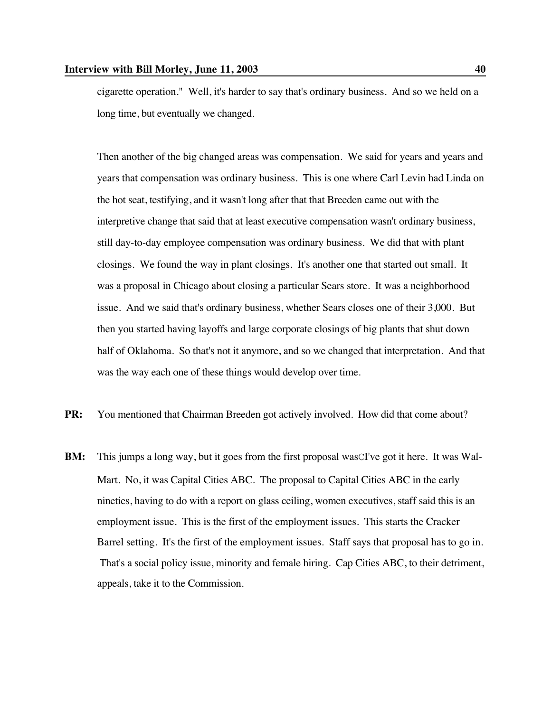cigarette operation." Well, it's harder to say that's ordinary business. And so we held on a long time, but eventually we changed.

Then another of the big changed areas was compensation. We said for years and years and years that compensation was ordinary business. This is one where Carl Levin had Linda on the hot seat, testifying, and it wasn't long after that that Breeden came out with the interpretive change that said that at least executive compensation wasn't ordinary business, still day-to-day employee compensation was ordinary business. We did that with plant closings. We found the way in plant closings. It's another one that started out small. It was a proposal in Chicago about closing a particular Sears store. It was a neighborhood issue. And we said that's ordinary business, whether Sears closes one of their 3,000. But then you started having layoffs and large corporate closings of big plants that shut down half of Oklahoma. So that's not it anymore, and so we changed that interpretation. And that was the way each one of these things would develop over time.

- **PR:** You mentioned that Chairman Breeden got actively involved. How did that come about?
- **BM:** This jumps a long way, but it goes from the first proposal was CI've got it here. It was Wal-Mart. No, it was Capital Cities ABC. The proposal to Capital Cities ABC in the early nineties, having to do with a report on glass ceiling, women executives, staff said this is an employment issue. This is the first of the employment issues. This starts the Cracker Barrel setting. It's the first of the employment issues. Staff says that proposal has to go in. That's a social policy issue, minority and female hiring. Cap Cities ABC, to their detriment, appeals, take it to the Commission.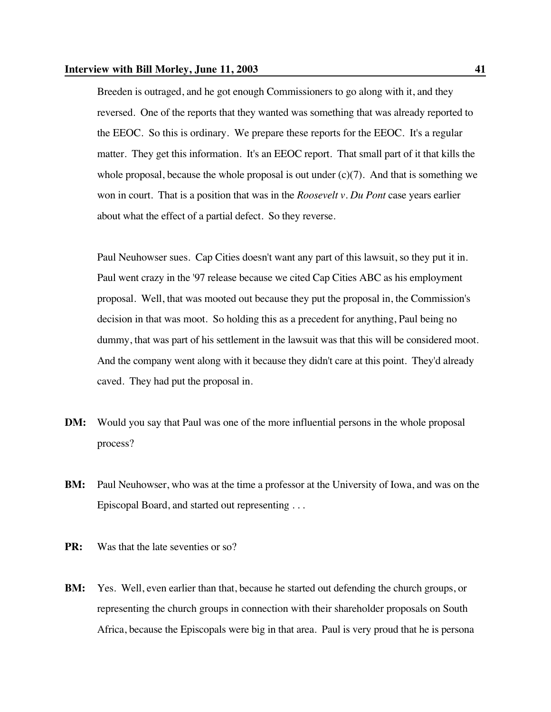Breeden is outraged, and he got enough Commissioners to go along with it, and they reversed. One of the reports that they wanted was something that was already reported to the EEOC. So this is ordinary. We prepare these reports for the EEOC. It's a regular matter. They get this information. It's an EEOC report. That small part of it that kills the whole proposal, because the whole proposal is out under  $(c)(7)$ . And that is something we won in court. That is a position that was in the *Roosevelt v. Du Pont* case years earlier about what the effect of a partial defect. So they reverse.

Paul Neuhowser sues. Cap Cities doesn't want any part of this lawsuit, so they put it in. Paul went crazy in the '97 release because we cited Cap Cities ABC as his employment proposal. Well, that was mooted out because they put the proposal in, the Commission's decision in that was moot. So holding this as a precedent for anything, Paul being no dummy, that was part of his settlement in the lawsuit was that this will be considered moot. And the company went along with it because they didn't care at this point. They'd already caved. They had put the proposal in.

- **DM:** Would you say that Paul was one of the more influential persons in the whole proposal process?
- **BM:** Paul Neuhowser, who was at the time a professor at the University of Iowa, and was on the Episcopal Board, and started out representing . . .
- **PR:** Was that the late seventies or so?
- **BM:** Yes. Well, even earlier than that, because he started out defending the church groups, or representing the church groups in connection with their shareholder proposals on South Africa, because the Episcopals were big in that area. Paul is very proud that he is persona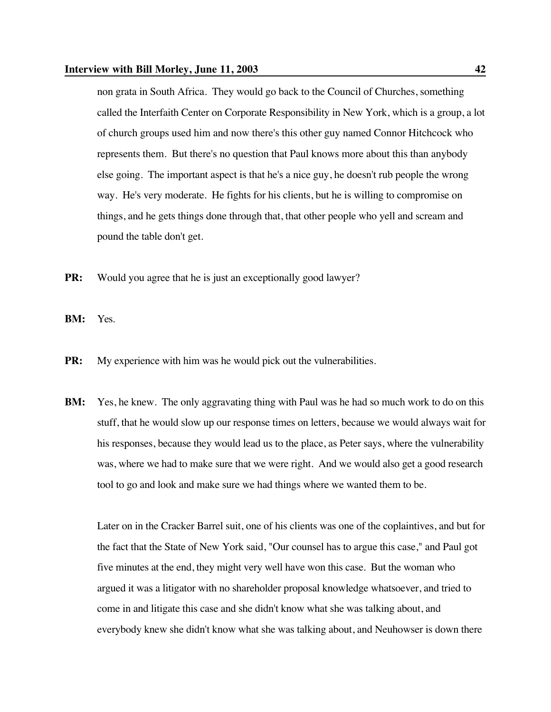### **Interview with Bill Morley, June 11, 2003 42**

non grata in South Africa. They would go back to the Council of Churches, something called the Interfaith Center on Corporate Responsibility in New York, which is a group, a lot of church groups used him and now there's this other guy named Connor Hitchcock who represents them. But there's no question that Paul knows more about this than anybody else going. The important aspect is that he's a nice guy, he doesn't rub people the wrong way. He's very moderate. He fights for his clients, but he is willing to compromise on things, and he gets things done through that, that other people who yell and scream and pound the table don't get.

- **PR:** Would you agree that he is just an exceptionally good lawyer?
- **BM:** Yes.
- **PR:** My experience with him was he would pick out the vulnerabilities.
- **BM:** Yes, he knew. The only aggravating thing with Paul was he had so much work to do on this stuff, that he would slow up our response times on letters, because we would always wait for his responses, because they would lead us to the place, as Peter says, where the vulnerability was, where we had to make sure that we were right. And we would also get a good research tool to go and look and make sure we had things where we wanted them to be.

Later on in the Cracker Barrel suit, one of his clients was one of the coplaintives, and but for the fact that the State of New York said, "Our counsel has to argue this case," and Paul got five minutes at the end, they might very well have won this case. But the woman who argued it was a litigator with no shareholder proposal knowledge whatsoever, and tried to come in and litigate this case and she didn't know what she was talking about, and everybody knew she didn't know what she was talking about, and Neuhowser is down there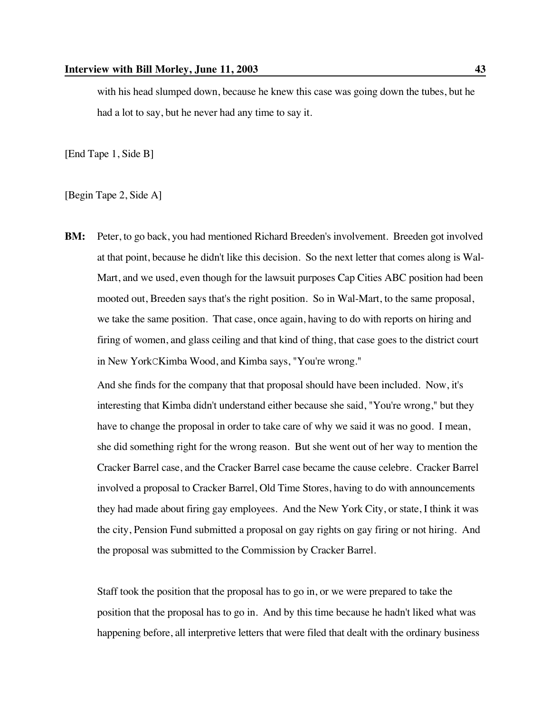with his head slumped down, because he knew this case was going down the tubes, but he had a lot to say, but he never had any time to say it.

[End Tape 1, Side B]

[Begin Tape 2, Side A]

**BM:** Peter, to go back, you had mentioned Richard Breeden's involvement. Breeden got involved at that point, because he didn't like this decision. So the next letter that comes along is Wal-Mart, and we used, even though for the lawsuit purposes Cap Cities ABC position had been mooted out, Breeden says that's the right position. So in Wal-Mart, to the same proposal, we take the same position. That case, once again, having to do with reports on hiring and firing of women, and glass ceiling and that kind of thing, that case goes to the district court in New YorkCKimba Wood, and Kimba says, "You're wrong."

And she finds for the company that that proposal should have been included. Now, it's interesting that Kimba didn't understand either because she said, "You're wrong," but they have to change the proposal in order to take care of why we said it was no good. I mean, she did something right for the wrong reason. But she went out of her way to mention the Cracker Barrel case, and the Cracker Barrel case became the cause celebre. Cracker Barrel involved a proposal to Cracker Barrel, Old Time Stores, having to do with announcements they had made about firing gay employees. And the New York City, or state, I think it was the city, Pension Fund submitted a proposal on gay rights on gay firing or not hiring. And the proposal was submitted to the Commission by Cracker Barrel.

Staff took the position that the proposal has to go in, or we were prepared to take the position that the proposal has to go in. And by this time because he hadn't liked what was happening before, all interpretive letters that were filed that dealt with the ordinary business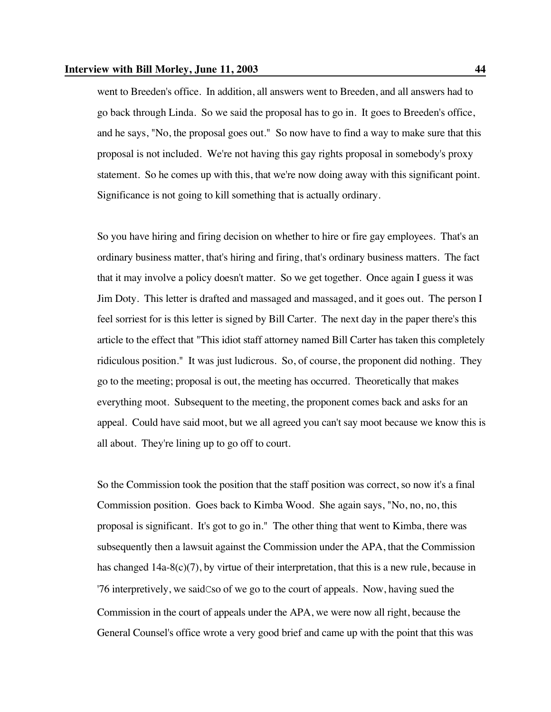went to Breeden's office. In addition, all answers went to Breeden, and all answers had to go back through Linda. So we said the proposal has to go in. It goes to Breeden's office, and he says, "No, the proposal goes out." So now have to find a way to make sure that this proposal is not included. We're not having this gay rights proposal in somebody's proxy statement. So he comes up with this, that we're now doing away with this significant point. Significance is not going to kill something that is actually ordinary.

So you have hiring and firing decision on whether to hire or fire gay employees. That's an ordinary business matter, that's hiring and firing, that's ordinary business matters. The fact that it may involve a policy doesn't matter. So we get together. Once again I guess it was Jim Doty. This letter is drafted and massaged and massaged, and it goes out. The person I feel sorriest for is this letter is signed by Bill Carter. The next day in the paper there's this article to the effect that "This idiot staff attorney named Bill Carter has taken this completely ridiculous position." It was just ludicrous. So, of course, the proponent did nothing. They go to the meeting; proposal is out, the meeting has occurred. Theoretically that makes everything moot. Subsequent to the meeting, the proponent comes back and asks for an appeal. Could have said moot, but we all agreed you can't say moot because we know this is all about. They're lining up to go off to court.

So the Commission took the position that the staff position was correct, so now it's a final Commission position. Goes back to Kimba Wood. She again says, "No, no, no, this proposal is significant. It's got to go in." The other thing that went to Kimba, there was subsequently then a lawsuit against the Commission under the APA, that the Commission has changed 14a-8(c)(7), by virtue of their interpretation, that this is a new rule, because in '76 interpretively, we saidCso of we go to the court of appeals. Now, having sued the Commission in the court of appeals under the APA, we were now all right, because the General Counsel's office wrote a very good brief and came up with the point that this was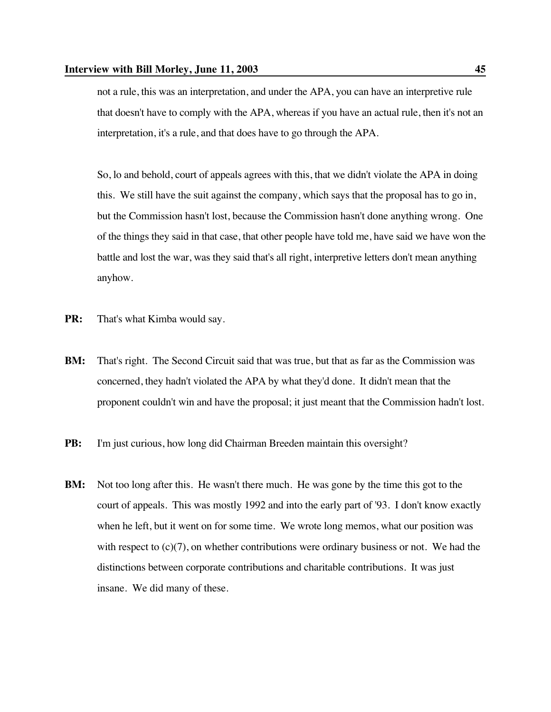not a rule, this was an interpretation, and under the APA, you can have an interpretive rule that doesn't have to comply with the APA, whereas if you have an actual rule, then it's not an interpretation, it's a rule, and that does have to go through the APA.

So, lo and behold, court of appeals agrees with this, that we didn't violate the APA in doing this. We still have the suit against the company, which says that the proposal has to go in, but the Commission hasn't lost, because the Commission hasn't done anything wrong. One of the things they said in that case, that other people have told me, have said we have won the battle and lost the war, was they said that's all right, interpretive letters don't mean anything anyhow.

- **PR:** That's what Kimba would say.
- **BM:** That's right. The Second Circuit said that was true, but that as far as the Commission was concerned, they hadn't violated the APA by what they'd done. It didn't mean that the proponent couldn't win and have the proposal; it just meant that the Commission hadn't lost.
- **PB:** I'm just curious, how long did Chairman Breeden maintain this oversight?
- **BM:** Not too long after this. He wasn't there much. He was gone by the time this got to the court of appeals. This was mostly 1992 and into the early part of '93. I don't know exactly when he left, but it went on for some time. We wrote long memos, what our position was with respect to  $(c)(7)$ , on whether contributions were ordinary business or not. We had the distinctions between corporate contributions and charitable contributions. It was just insane. We did many of these.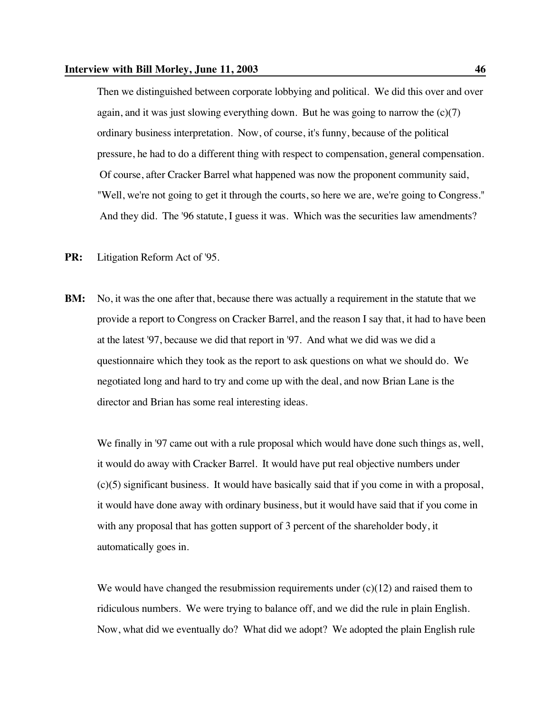Then we distinguished between corporate lobbying and political. We did this over and over again, and it was just slowing everything down. But he was going to narrow the  $(c)(7)$ ordinary business interpretation. Now, of course, it's funny, because of the political pressure, he had to do a different thing with respect to compensation, general compensation. Of course, after Cracker Barrel what happened was now the proponent community said, "Well, we're not going to get it through the courts, so here we are, we're going to Congress." And they did. The '96 statute, I guess it was. Which was the securities law amendments?

- **PR:** Litigation Reform Act of '95.
- **BM:** No, it was the one after that, because there was actually a requirement in the statute that we provide a report to Congress on Cracker Barrel, and the reason I say that, it had to have been at the latest '97, because we did that report in '97. And what we did was we did a questionnaire which they took as the report to ask questions on what we should do. We negotiated long and hard to try and come up with the deal, and now Brian Lane is the director and Brian has some real interesting ideas.

We finally in '97 came out with a rule proposal which would have done such things as, well, it would do away with Cracker Barrel. It would have put real objective numbers under (c)(5) significant business. It would have basically said that if you come in with a proposal, it would have done away with ordinary business, but it would have said that if you come in with any proposal that has gotten support of 3 percent of the shareholder body, it automatically goes in.

We would have changed the resubmission requirements under  $(c)(12)$  and raised them to ridiculous numbers. We were trying to balance off, and we did the rule in plain English. Now, what did we eventually do? What did we adopt? We adopted the plain English rule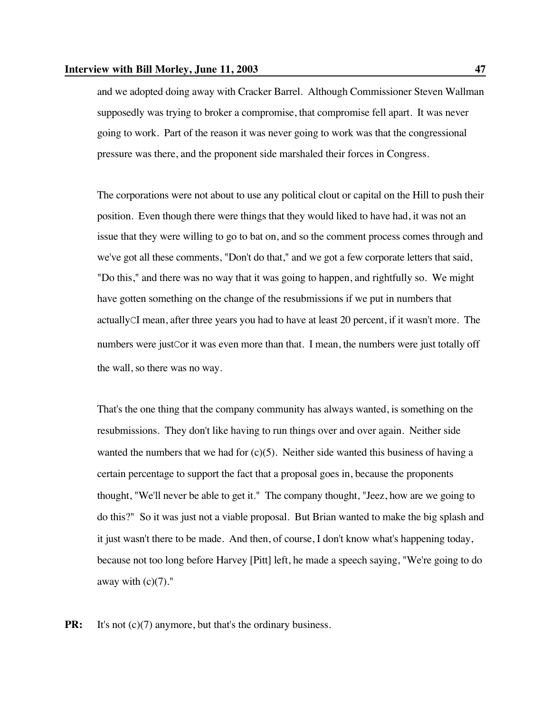and we adopted doing away with Cracker Barrel. Although Commissioner Steven Wallman supposedly was trying to broker a compromise, that compromise fell apart. It was never going to work. Part of the reason it was never going to work was that the congressional pressure was there, and the proponent side marshaled their forces in Congress.

The corporations were not about to use any political clout or capital on the Hill to push their position. Even though there were things that they would liked to have had, it was not an issue that they were willing to go to bat on, and so the comment process comes through and we've got all these comments, "Don't do that," and we got a few corporate letters that said, "Do this," and there was no way that it was going to happen, and rightfully so. We might have gotten something on the change of the resubmissions if we put in numbers that actuallyCI mean, after three years you had to have at least 20 percent, if it wasn't more. The numbers were justCor it was even more than that. I mean, the numbers were just totally off the wall, so there was no way.

That's the one thing that the company community has always wanted, is something on the resubmissions. They don't like having to run things over and over again. Neither side wanted the numbers that we had for  $(c)(5)$ . Neither side wanted this business of having a certain percentage to support the fact that a proposal goes in, because the proponents thought, "We'll never be able to get it." The company thought, "Jeez, how are we going to do this?" So it was just not a viable proposal. But Brian wanted to make the big splash and it just wasn't there to be made. And then, of course, I don't know what's happening today, because not too long before Harvey [Pitt] left, he made a speech saying, "We're going to do away with  $(c)(7)$ ."

**PR:** It's not (c)(7) anymore, but that's the ordinary business.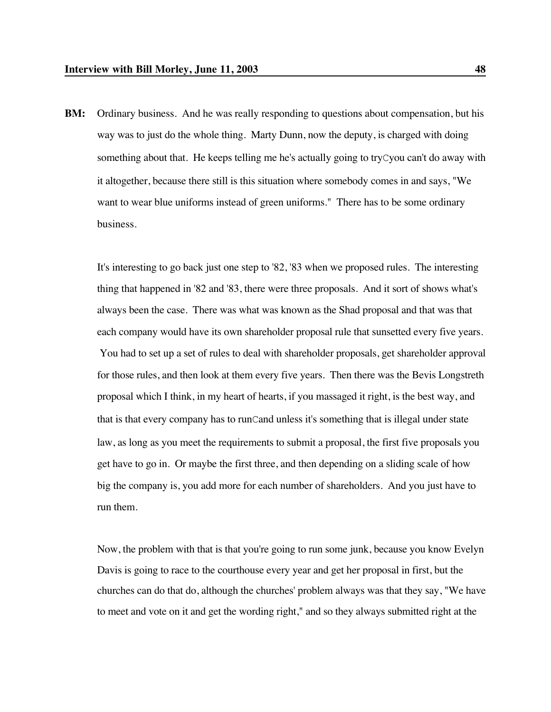**BM:** Ordinary business. And he was really responding to questions about compensation, but his way was to just do the whole thing. Marty Dunn, now the deputy, is charged with doing something about that. He keeps telling me he's actually going to tryCyou can't do away with it altogether, because there still is this situation where somebody comes in and says, "We want to wear blue uniforms instead of green uniforms." There has to be some ordinary business.

It's interesting to go back just one step to '82, '83 when we proposed rules. The interesting thing that happened in '82 and '83, there were three proposals. And it sort of shows what's always been the case. There was what was known as the Shad proposal and that was that each company would have its own shareholder proposal rule that sunsetted every five years. You had to set up a set of rules to deal with shareholder proposals, get shareholder approval for those rules, and then look at them every five years. Then there was the Bevis Longstreth proposal which I think, in my heart of hearts, if you massaged it right, is the best way, and that is that every company has to runCand unless it's something that is illegal under state law, as long as you meet the requirements to submit a proposal, the first five proposals you get have to go in. Or maybe the first three, and then depending on a sliding scale of how big the company is, you add more for each number of shareholders. And you just have to run them.

Now, the problem with that is that you're going to run some junk, because you know Evelyn Davis is going to race to the courthouse every year and get her proposal in first, but the churches can do that do, although the churches' problem always was that they say, "We have to meet and vote on it and get the wording right," and so they always submitted right at the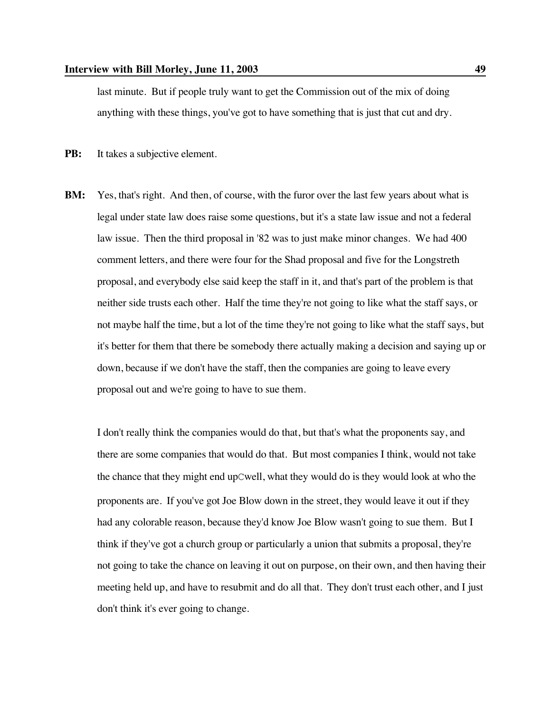last minute. But if people truly want to get the Commission out of the mix of doing anything with these things, you've got to have something that is just that cut and dry.

**PB:** It takes a subjective element.

**BM:** Yes, that's right. And then, of course, with the furor over the last few years about what is legal under state law does raise some questions, but it's a state law issue and not a federal law issue. Then the third proposal in '82 was to just make minor changes. We had 400 comment letters, and there were four for the Shad proposal and five for the Longstreth proposal, and everybody else said keep the staff in it, and that's part of the problem is that neither side trusts each other. Half the time they're not going to like what the staff says, or not maybe half the time, but a lot of the time they're not going to like what the staff says, but it's better for them that there be somebody there actually making a decision and saying up or down, because if we don't have the staff, then the companies are going to leave every proposal out and we're going to have to sue them.

I don't really think the companies would do that, but that's what the proponents say, and there are some companies that would do that. But most companies I think, would not take the chance that they might end upCwell, what they would do is they would look at who the proponents are. If you've got Joe Blow down in the street, they would leave it out if they had any colorable reason, because they'd know Joe Blow wasn't going to sue them. But I think if they've got a church group or particularly a union that submits a proposal, they're not going to take the chance on leaving it out on purpose, on their own, and then having their meeting held up, and have to resubmit and do all that. They don't trust each other, and I just don't think it's ever going to change.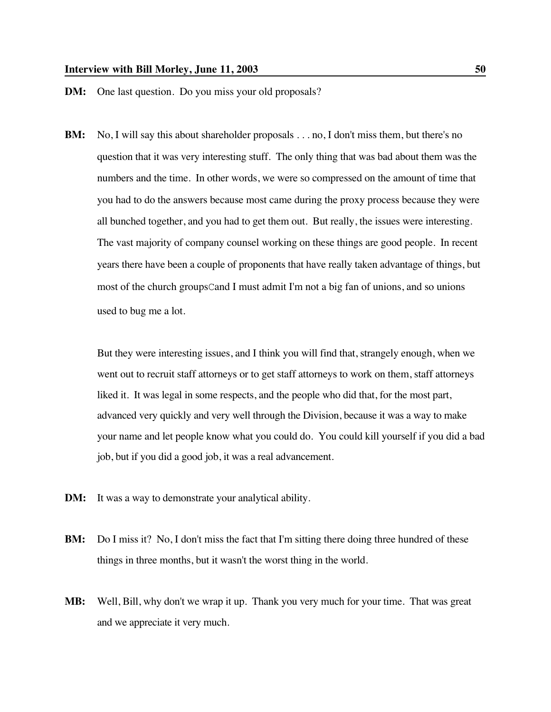## **Interview with Bill Morley, June 11, 2003** 50

# **DM:** One last question. Do you miss your old proposals?

**BM:** No, I will say this about shareholder proposals . . . no, I don't miss them, but there's no question that it was very interesting stuff. The only thing that was bad about them was the numbers and the time. In other words, we were so compressed on the amount of time that you had to do the answers because most came during the proxy process because they were all bunched together, and you had to get them out. But really, the issues were interesting. The vast majority of company counsel working on these things are good people. In recent years there have been a couple of proponents that have really taken advantage of things, but most of the church groupsCand I must admit I'm not a big fan of unions, and so unions used to bug me a lot.

But they were interesting issues, and I think you will find that, strangely enough, when we went out to recruit staff attorneys or to get staff attorneys to work on them, staff attorneys liked it. It was legal in some respects, and the people who did that, for the most part, advanced very quickly and very well through the Division, because it was a way to make your name and let people know what you could do. You could kill yourself if you did a bad job, but if you did a good job, it was a real advancement.

- **DM:** It was a way to demonstrate your analytical ability.
- **BM:** Do I miss it? No, I don't miss the fact that I'm sitting there doing three hundred of these things in three months, but it wasn't the worst thing in the world.
- **MB:** Well, Bill, why don't we wrap it up. Thank you very much for your time. That was great and we appreciate it very much.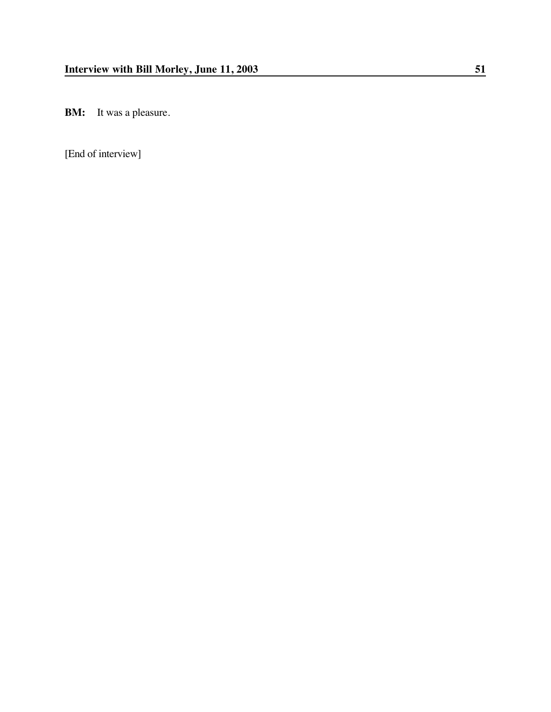**BM:** It was a pleasure.

[End of interview]